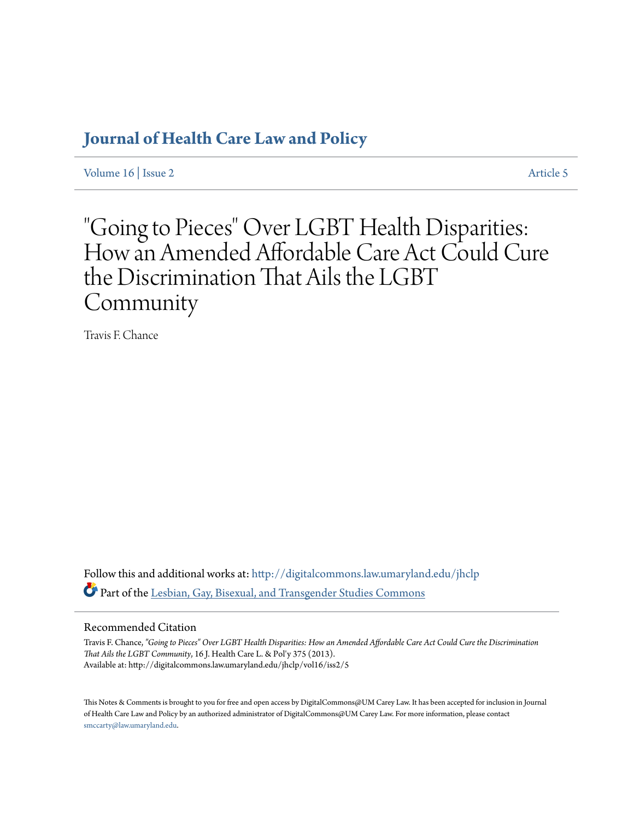## **[Journal of Health Care Law and Policy](http://digitalcommons.law.umaryland.edu/jhclp?utm_source=digitalcommons.law.umaryland.edu%2Fjhclp%2Fvol16%2Fiss2%2F5&utm_medium=PDF&utm_campaign=PDFCoverPages)**

[Volume 16](http://digitalcommons.law.umaryland.edu/jhclp/vol16?utm_source=digitalcommons.law.umaryland.edu%2Fjhclp%2Fvol16%2Fiss2%2F5&utm_medium=PDF&utm_campaign=PDFCoverPages) | [Issue 2](http://digitalcommons.law.umaryland.edu/jhclp/vol16/iss2?utm_source=digitalcommons.law.umaryland.edu%2Fjhclp%2Fvol16%2Fiss2%2F5&utm_medium=PDF&utm_campaign=PDFCoverPages) [Article 5](http://digitalcommons.law.umaryland.edu/jhclp/vol16/iss2/5?utm_source=digitalcommons.law.umaryland.edu%2Fjhclp%2Fvol16%2Fiss2%2F5&utm_medium=PDF&utm_campaign=PDFCoverPages)

# "Going to Pieces" Over LGBT Health Disparities: How an Amended Affordable Care Act Could Cure the Discrimination That Ails the LGBT Community

Travis F. Chance

Follow this and additional works at: [http://digitalcommons.law.umaryland.edu/jhclp](http://digitalcommons.law.umaryland.edu/jhclp?utm_source=digitalcommons.law.umaryland.edu%2Fjhclp%2Fvol16%2Fiss2%2F5&utm_medium=PDF&utm_campaign=PDFCoverPages) Part of the [Lesbian, Gay, Bisexual, and Transgender Studies Commons](http://network.bepress.com/hgg/discipline/560?utm_source=digitalcommons.law.umaryland.edu%2Fjhclp%2Fvol16%2Fiss2%2F5&utm_medium=PDF&utm_campaign=PDFCoverPages)

## Recommended Citation

Travis F. Chance, *"Going to Pieces" Over LGBT Health Disparities: How an Amended Affordable Care Act Could Cure the Discrimination That Ails the LGBT Community*, 16 J. Health Care L. & Pol'y 375 (2013). Available at: http://digitalcommons.law.umaryland.edu/jhclp/vol16/iss2/5

This Notes & Comments is brought to you for free and open access by DigitalCommons@UM Carey Law. It has been accepted for inclusion in Journal of Health Care Law and Policy by an authorized administrator of DigitalCommons@UM Carey Law. For more information, please contact [smccarty@law.umaryland.edu.](mailto:smccarty@law.umaryland.edu)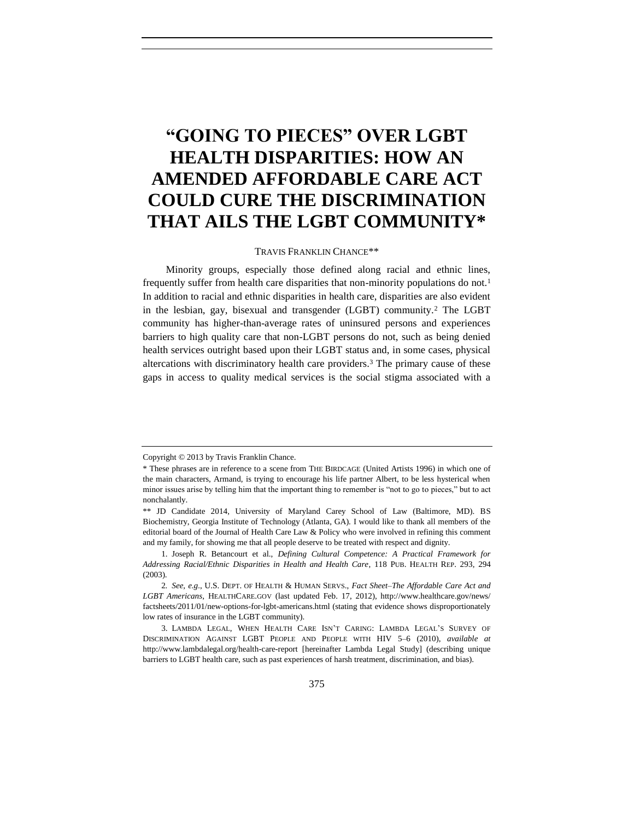## **"GOING TO PIECES" OVER LGBT HEALTH DISPARITIES: HOW AN AMENDED AFFORDABLE CARE ACT COULD CURE THE DISCRIMINATION THAT AILS THE LGBT COMMUNITY\***

#### <span id="page-1-2"></span><span id="page-1-1"></span><span id="page-1-0"></span>TRAVIS FRANKLIN CHANCE\*\*

Minority groups, especially those defined along racial and ethnic lines, frequently suffer from health care disparities that non-minority populations do not.<sup>1</sup> In addition to racial and ethnic disparities in health care, disparities are also evident in the lesbian, gay, bisexual and transgender (LGBT) community.<sup>2</sup> The LGBT community has higher-than-average rates of uninsured persons and experiences barriers to high quality care that non-LGBT persons do not, such as being denied health services outright based upon their LGBT status and, in some cases, physical altercations with discriminatory health care providers.<sup>3</sup> The primary cause of these gaps in access to quality medical services is the social stigma associated with a

Copyright © 2013 by Travis Franklin Chance.

<sup>\*</sup> These phrases are in reference to a scene from THE BIRDCAGE (United Artists 1996) in which one of the main characters, Armand, is trying to encourage his life partner Albert, to be less hysterical when minor issues arise by telling him that the important thing to remember is "not to go to pieces," but to act nonchalantly.

<sup>\*\*</sup> JD Candidate 2014, University of Maryland Carey School of Law (Baltimore, MD). BS Biochemistry, Georgia Institute of Technology (Atlanta, GA). I would like to thank all members of the editorial board of the Journal of Health Care Law & Policy who were involved in refining this comment and my family, for showing me that all people deserve to be treated with respect and dignity.

<sup>1.</sup> Joseph R. Betancourt et al., *Defining Cultural Competence: A Practical Framework for Addressing Racial/Ethnic Disparities in Health and Health Care*, 118 PUB. HEALTH REP. 293, 294 (2003).

<sup>2</sup>*. See, e.g.*, U.S. DEPT. OF HEALTH & HUMAN SERVS., *Fact Sheet–The Affordable Care Act and LGBT Americans*, HEALTHCARE.GOV (last updated Feb. 17, 2012), http://www.healthcare.gov/news/ factsheets/2011/01/new-options-for-lgbt-americans.html (stating that evidence shows disproportionately low rates of insurance in the LGBT community).

<sup>3.</sup> LAMBDA LEGAL, WHEN HEALTH CARE ISN'T CARING: LAMBDA LEGAL'S SURVEY OF DISCRIMINATION AGAINST LGBT PEOPLE AND PEOPLE WITH HIV 5–6 (2010), *available at*  http://www.lambdalegal.org/health-care-report [hereinafter Lambda Legal Study] (describing unique barriers to LGBT health care, such as past experiences of harsh treatment, discrimination, and bias).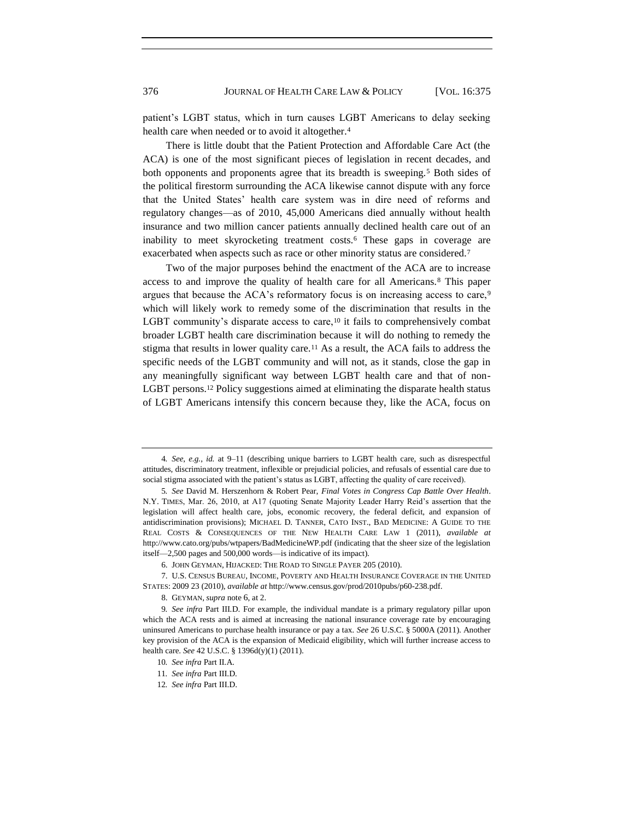patient's LGBT status, which in turn causes LGBT Americans to delay seeking health care when needed or to avoid it altogether.<sup>4</sup>

<span id="page-2-1"></span>There is little doubt that the Patient Protection and Affordable Care Act (the ACA) is one of the most significant pieces of legislation in recent decades, and both opponents and proponents agree that its breadth is sweeping.<sup>5</sup> Both sides of the political firestorm surrounding the ACA likewise cannot dispute with any force that the United States' health care system was in dire need of reforms and regulatory changes—as of 2010, 45,000 Americans died annually without health insurance and two million cancer patients annually declined health care out of an inability to meet skyrocketing treatment costs.<sup>6</sup> These gaps in coverage are exacerbated when aspects such as race or other minority status are considered.<sup>7</sup>

<span id="page-2-0"></span>Two of the major purposes behind the enactment of the ACA are to increase access to and improve the quality of health care for all Americans.<sup>8</sup> This paper argues that because the ACA's reformatory focus is on increasing access to care,<sup>9</sup> which will likely work to remedy some of the discrimination that results in the LGBT community's disparate access to care,<sup>10</sup> it fails to comprehensively combat broader LGBT health care discrimination because it will do nothing to remedy the stigma that results in lower quality care.<sup>11</sup> As a result, the ACA fails to address the specific needs of the LGBT community and will not, as it stands, close the gap in any meaningfully significant way between LGBT health care and that of non-LGBT persons.<sup>12</sup> Policy suggestions aimed at eliminating the disparate health status of LGBT Americans intensify this concern because they, like the ACA, focus on

<sup>4</sup>*. See*, *e.g.*, *id.* at 9–11 (describing unique barriers to LGBT health care, such as disrespectful attitudes, discriminatory treatment, inflexible or prejudicial policies, and refusals of essential care due to social stigma associated with the patient's status as LGBT, affecting the quality of care received).

<sup>5</sup>*. See* David M. Herszenhorn & Robert Pear, *Final Votes in Congress Cap Battle Over Health*. N.Y. TIMES, Mar. 26, 2010, at A17 (quoting Senate Majority Leader Harry Reid's assertion that the legislation will affect health care, jobs, economic recovery, the federal deficit, and expansion of antidiscrimination provisions); MICHAEL D. TANNER, CATO INST., BAD MEDICINE: A GUIDE TO THE REAL COSTS & CONSEQUENCES OF THE NEW HEALTH CARE LAW 1 (2011), *available at*  http://www.cato.org/pubs/wtpapers/BadMedicineWP.pdf (indicating that the sheer size of the legislation itself—2,500 pages and 500,000 words—is indicative of its impact).

<sup>6.</sup> JOHN GEYMAN, HIJACKED: THE ROAD TO SINGLE PAYER 205 (2010).

<sup>7.</sup> U.S. CENSUS BUREAU, INCOME, POVERTY AND HEALTH INSURANCE COVERAGE IN THE UNITED STATES: 2009 23 (2010), *available at* http://www.census.gov/prod/2010pubs/p60-238.pdf.

<sup>8.</sup> GEYMAN, *supra* note [6](#page-2-0), at 2.

<sup>9</sup>*. See infra* Part III.D. For example, the individual mandate is a primary regulatory pillar upon which the ACA rests and is aimed at increasing the national insurance coverage rate by encouraging uninsured Americans to purchase health insurance or pay a tax. *See* 26 U.S.C. § 5000A (2011). Another key provision of the ACA is the expansion of Medicaid eligibility, which will further increase access to health care. *See* 42 U.S.C. § 1396d(y)(1) (2011).

<sup>10</sup>*. See infra* Part II.A.

<sup>11</sup>*. See infra* Part III.D*.*

<sup>12</sup>*. See infra* Part III.D.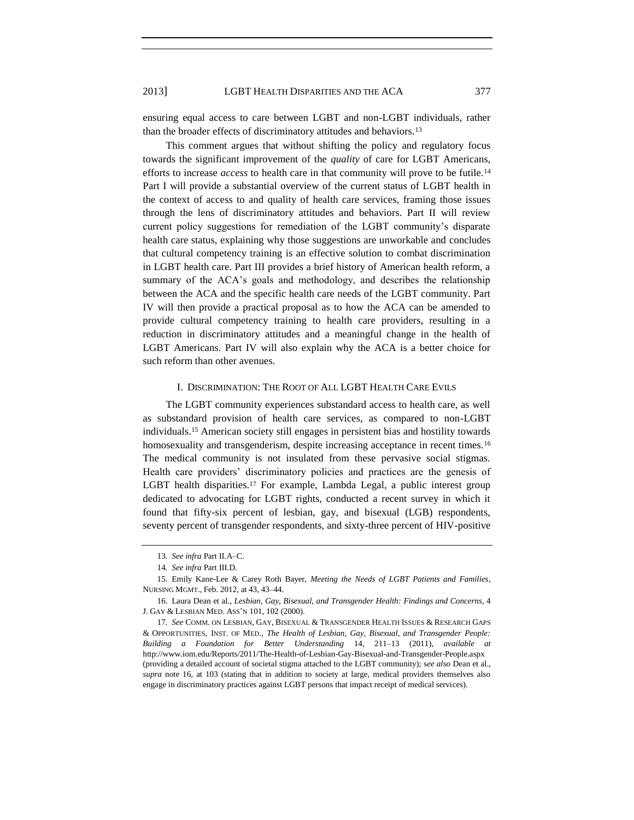ensuring equal access to care between LGBT and non-LGBT individuals, rather than the broader effects of discriminatory attitudes and behaviors.<sup>13</sup>

This comment argues that without shifting the policy and regulatory focus towards the significant improvement of the *quality* of care for LGBT Americans, efforts to increase *access* to health care in that community will prove to be futile.<sup>14</sup> Part I will provide a substantial overview of the current status of LGBT health in the context of access to and quality of health care services, framing those issues through the lens of discriminatory attitudes and behaviors. Part II will review current policy suggestions for remediation of the LGBT community's disparate health care status, explaining why those suggestions are unworkable and concludes that cultural competency training is an effective solution to combat discrimination in LGBT health care. Part III provides a brief history of American health reform, a summary of the ACA's goals and methodology, and describes the relationship between the ACA and the specific health care needs of the LGBT community. Part IV will then provide a practical proposal as to how the ACA can be amended to provide cultural competency training to health care providers, resulting in a reduction in discriminatory attitudes and a meaningful change in the health of LGBT Americans. Part IV will also explain why the ACA is a better choice for such reform than other avenues.

#### <span id="page-3-1"></span><span id="page-3-0"></span>I. DISCRIMINATION: THE ROOT OF ALL LGBT HEALTH CARE EVILS

The LGBT community experiences substandard access to health care, as well as substandard provision of health care services, as compared to non-LGBT individuals.<sup>15</sup> American society still engages in persistent bias and hostility towards homosexuality and transgenderism, despite increasing acceptance in recent times.<sup>16</sup> The medical community is not insulated from these pervasive social stigmas. Health care providers' discriminatory policies and practices are the genesis of LGBT health disparities.<sup>17</sup> For example, Lambda Legal, a public interest group dedicated to advocating for LGBT rights, conducted a recent survey in which it found that fifty-six percent of lesbian, gay, and bisexual (LGB) respondents, seventy percent of transgender respondents, and sixty-three percent of HIV-positive

<sup>13</sup>*. See infra* Part II.A–C.

<sup>14</sup>*. See infra* Part III.D*.*

<sup>15.</sup> Emily Kane-Lee & Carey Roth Bayer, *Meeting the Needs of LGBT Patients and Families*, NURSING MGMT., Feb. 2012, at 43, 43–44.

<sup>16.</sup> Laura Dean et al., *Lesbian, Gay, Bisexual, and Transgender Health: Findings and Concerns*, 4 J. GAY & LESBIAN MED. ASS'N 101, 102 (2000).

<sup>17</sup>*. See* COMM. ON LESBIAN, GAY, BISEXUAL & TRANSGENDER HEALTH ISSUES & RESEARCH GAPS & OPPORTUNITIES, INST. OF MED., *The Health of Lesbian, Gay, Bisexual, and Transgender People: Building a Foundation for Better Understanding* 14, 211–13 (2011), *available at*  http://www.iom.edu/Reports/2011/The-Health-of-Lesbian-Gay-Bisexual-and-Transgender-People.aspx (providing a detailed account of societal stigma attached to the LGBT community); s*ee also* Dean et al., *supra* note [16,](#page-3-0) at 103 (stating that in addition to society at large, medical providers themselves also engage in discriminatory practices against LGBT persons that impact receipt of medical services).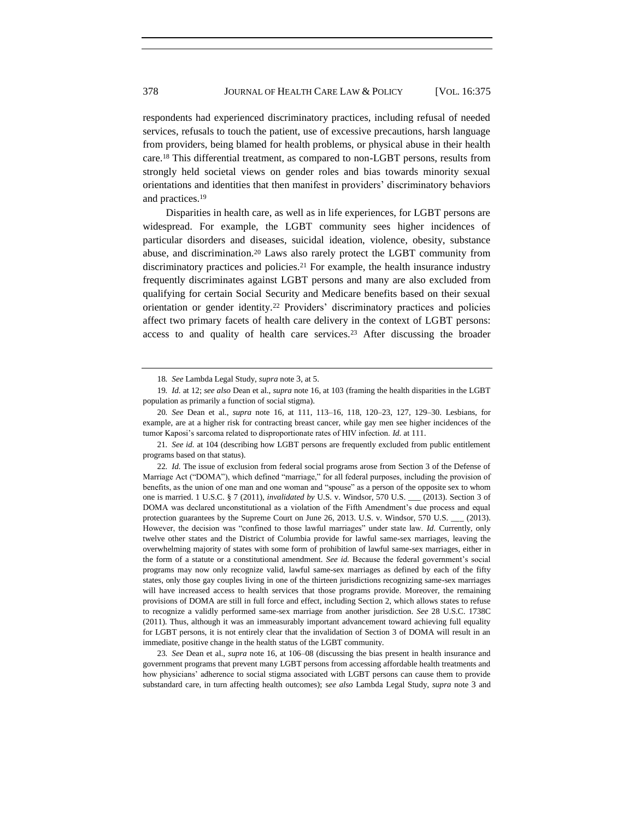respondents had experienced discriminatory practices, including refusal of needed services, refusals to touch the patient, use of excessive precautions, harsh language from providers, being blamed for health problems, or physical abuse in their health care.<sup>18</sup> This differential treatment, as compared to non-LGBT persons, results from strongly held societal views on gender roles and bias towards minority sexual orientations and identities that then manifest in providers' discriminatory behaviors and practices.<sup>19</sup>

Disparities in health care, as well as in life experiences, for LGBT persons are widespread. For example, the LGBT community sees higher incidences of particular disorders and diseases, suicidal ideation, violence, obesity, substance abuse, and discrimination.<sup>20</sup> Laws also rarely protect the LGBT community from discriminatory practices and policies.<sup>21</sup> For example, the health insurance industry frequently discriminates against LGBT persons and many are also excluded from qualifying for certain Social Security and Medicare benefits based on their sexual orientation or gender identity.<sup>22</sup> Providers' discriminatory practices and policies affect two primary facets of health care delivery in the context of LGBT persons: access to and quality of health care services.<sup>23</sup> After discussing the broader

23*. See* Dean et al., *supra* not[e 16,](#page-3-0) at 106–08 (discussing the bias present in health insurance and government programs that prevent many LGBT persons from accessing affordable health treatments and how physicians' adherence to social stigma associated with LGBT persons can cause them to provide substandard care, in turn affecting health outcomes); s*ee also* Lambda Legal Study, *supra* note [3](#page-1-0) and

<span id="page-4-0"></span><sup>18</sup>*. See* Lambda Legal Study, *supra* note [3](#page-1-0), at 5.

<sup>19</sup>*. Id.* at 12; *see also* Dean et al., *supra* note [16,](#page-3-0) at 103 (framing the health disparities in the LGBT population as primarily a function of social stigma).

<sup>20</sup>*. See* Dean et al., *supra* note [16,](#page-3-0) at 111, 113–16, 118, 120–23, 127, 129–30. Lesbians, for example, are at a higher risk for contracting breast cancer, while gay men see higher incidences of the tumor Kaposi's sarcoma related to disproportionate rates of HIV infection. *Id.* at 111.

<sup>21</sup>*. See id.* at 104 (describing how LGBT persons are frequently excluded from public entitlement programs based on that status).

<sup>22</sup>*. Id.* The issue of exclusion from federal social programs arose from Section 3 of the Defense of Marriage Act ("DOMA"), which defined "marriage," for all federal purposes, including the provision of benefits, as the union of one man and one woman and "spouse" as a person of the opposite sex to whom one is married. 1 U.S.C. § 7 (2011), *invalidated by* U.S. v. Windsor, 570 U.S. \_\_\_ (2013). Section 3 of DOMA was declared unconstitutional as a violation of the Fifth Amendment's due process and equal protection guarantees by the Supreme Court on June 26, 2013. U.S. v. Windsor, 570 U.S. \_\_ (2013). However, the decision was "confined to those lawful marriages" under state law. *Id.* Currently, only twelve other states and the District of Columbia provide for lawful same-sex marriages, leaving the overwhelming majority of states with some form of prohibition of lawful same-sex marriages, either in the form of a statute or a constitutional amendment. *See id.* Because the federal government's social programs may now only recognize valid, lawful same-sex marriages as defined by each of the fifty states, only those gay couples living in one of the thirteen jurisdictions recognizing same-sex marriages will have increased access to health services that those programs provide. Moreover, the remaining provisions of DOMA are still in full force and effect, including Section 2, which allows states to refuse to recognize a validly performed same-sex marriage from another jurisdiction. *See* 28 U.S.C. 1738C (2011). Thus, although it was an immeasurably important advancement toward achieving full equality for LGBT persons, it is not entirely clear that the invalidation of Section 3 of DOMA will result in an immediate, positive change in the health status of the LGBT community.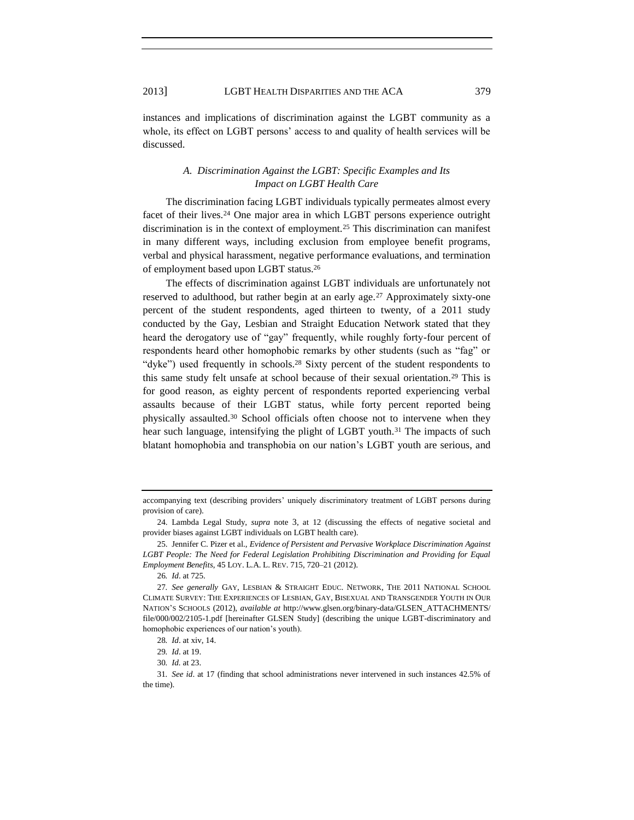instances and implications of discrimination against the LGBT community as a whole, its effect on LGBT persons' access to and quality of health services will be discussed.

## <span id="page-5-1"></span><span id="page-5-0"></span>*A. Discrimination Against the LGBT: Specific Examples and Its Impact on LGBT Health Care*

The discrimination facing LGBT individuals typically permeates almost every facet of their lives.<sup>24</sup> One major area in which LGBT persons experience outright discrimination is in the context of employment.<sup>25</sup> This discrimination can manifest in many different ways, including exclusion from employee benefit programs, verbal and physical harassment, negative performance evaluations, and termination of employment based upon LGBT status.<sup>26</sup>

The effects of discrimination against LGBT individuals are unfortunately not reserved to adulthood, but rather begin at an early age.<sup>27</sup> Approximately sixty-one percent of the student respondents, aged thirteen to twenty, of a 2011 study conducted by the Gay, Lesbian and Straight Education Network stated that they heard the derogatory use of "gay" frequently, while roughly forty-four percent of respondents heard other homophobic remarks by other students (such as "fag" or "dyke") used frequently in schools.<sup>28</sup> Sixty percent of the student respondents to this same study felt unsafe at school because of their sexual orientation.<sup>29</sup> This is for good reason, as eighty percent of respondents reported experiencing verbal assaults because of their LGBT status, while forty percent reported being physically assaulted.<sup>30</sup> School officials often choose not to intervene when they hear such language, intensifying the plight of LGBT youth.<sup>31</sup> The impacts of such blatant homophobia and transphobia on our nation's LGBT youth are serious, and

accompanying text (describing providers' uniquely discriminatory treatment of LGBT persons during provision of care).

<sup>24.</sup> Lambda Legal Study, *supra* note [3](#page-1-0), at 12 (discussing the effects of negative societal and provider biases against LGBT individuals on LGBT health care).

<sup>25.</sup> Jennifer C. Pizer et al., *Evidence of Persistent and Pervasive Workplace Discrimination Against LGBT People: The Need for Federal Legislation Prohibiting Discrimination and Providing for Equal Employment Benefits*, 45 LOY. L.A. L. REV. 715, 720–21 (2012).

<sup>26</sup>*. Id*. at 725.

<sup>27</sup>*. See generally* GAY, LESBIAN & STRAIGHT EDUC. NETWORK, THE 2011 NATIONAL SCHOOL CLIMATE SURVEY: THE EXPERIENCES OF LESBIAN, GAY, BISEXUAL AND TRANSGENDER YOUTH IN OUR NATION'S SCHOOLS (2012), *available at* http://www.glsen.org/binary-data/GLSEN\_ATTACHMENTS/ file/000/002/2105-1.pdf [hereinafter GLSEN Study] (describing the unique LGBT-discriminatory and homophobic experiences of our nation's youth).

<sup>28</sup>*. Id*. at xiv, 14.

<sup>29</sup>*. Id*. at 19.

<sup>30</sup>*. Id.* at 23.

<sup>31</sup>*. See id*. at 17 (finding that school administrations never intervened in such instances 42.5% of the time).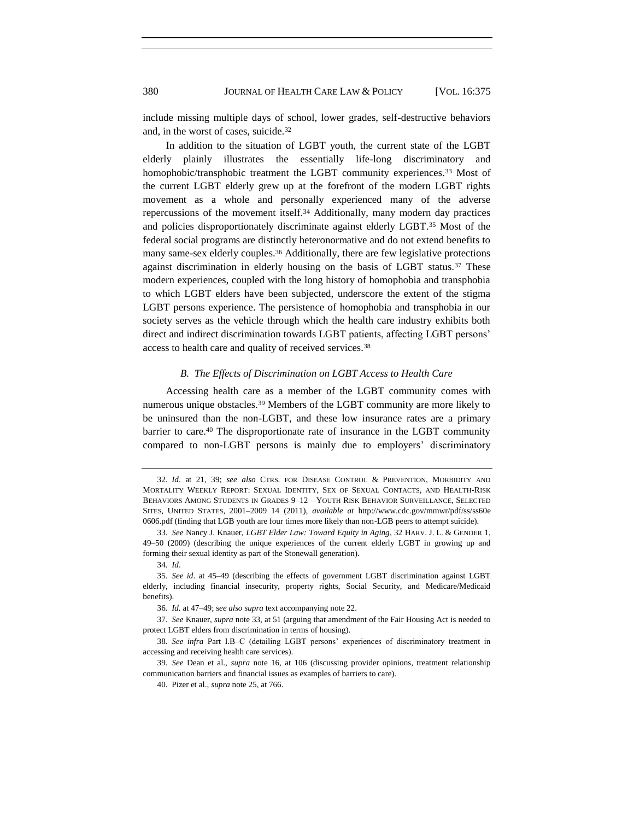include missing multiple days of school, lower grades, self-destructive behaviors and, in the worst of cases, suicide.<sup>32</sup>

<span id="page-6-0"></span>In addition to the situation of LGBT youth, the current state of the LGBT elderly plainly illustrates the essentially life-long discriminatory and homophobic/transphobic treatment the LGBT community experiences.<sup>33</sup> Most of the current LGBT elderly grew up at the forefront of the modern LGBT rights movement as a whole and personally experienced many of the adverse repercussions of the movement itself.<sup>34</sup> Additionally, many modern day practices and policies disproportionately discriminate against elderly LGBT.<sup>35</sup> Most of the federal social programs are distinctly heteronormative and do not extend benefits to many same-sex elderly couples.<sup>36</sup> Additionally, there are few legislative protections against discrimination in elderly housing on the basis of LGBT status.<sup>37</sup> These modern experiences, coupled with the long history of homophobia and transphobia to which LGBT elders have been subjected, underscore the extent of the stigma LGBT persons experience. The persistence of homophobia and transphobia in our society serves as the vehicle through which the health care industry exhibits both direct and indirect discrimination towards LGBT patients, affecting LGBT persons' access to health care and quality of received services.<sup>38</sup>

#### *B. The Effects of Discrimination on LGBT Access to Health Care*

Accessing health care as a member of the LGBT community comes with numerous unique obstacles.<sup>39</sup> Members of the LGBT community are more likely to be uninsured than the non-LGBT, and these low insurance rates are a primary barrier to care.<sup>40</sup> The disproportionate rate of insurance in the LGBT community compared to non-LGBT persons is mainly due to employers' discriminatory

<sup>32</sup>*. Id*. at 21, 39; *see also* CTRS. FOR DISEASE CONTROL & PREVENTION, MORBIDITY AND MORTALITY WEEKLY REPORT: SEXUAL IDENTITY, SEX OF SEXUAL CONTACTS, AND HEALTH-RISK BEHAVIORS AMONG STUDENTS IN GRADES 9–12—YOUTH RISK BEHAVIOR SURVEILLANCE, SELECTED SITES, UNITED STATES, 2001–2009 14 (2011), *available at* http://www.cdc.gov/mmwr/pdf/ss/ss60e 0606.pdf (finding that LGB youth are four times more likely than non-LGB peers to attempt suicide).

<sup>33</sup>*. See* Nancy J. Knauer, *LGBT Elder Law: Toward Equity in Aging*, 32 HARV. J. L. & GENDER 1, 49–50 (2009) (describing the unique experiences of the current elderly LGBT in growing up and forming their sexual identity as part of the Stonewall generation).

<sup>34</sup>*. Id*.

<sup>35</sup>*. See id*. at 45–49 (describing the effects of government LGBT discrimination against LGBT elderly, including financial insecurity, property rights, Social Security, and Medicare/Medicaid benefits).

<sup>36</sup>*. Id.* at 47–49; s*ee also supra* text accompanying note [22.](#page-4-0)

<sup>37</sup>*. See* Knauer, *supra* not[e 33,](#page-6-0) at 51 (arguing that amendment of the Fair Housing Act is needed to protect LGBT elders from discrimination in terms of housing).

<sup>38</sup>*. See infra* Part I.B–C (detailing LGBT persons' experiences of discriminatory treatment in accessing and receiving health care services).

<sup>39</sup>*. See* Dean et al., *supra* note [16,](#page-3-0) at 106 (discussing provider opinions, treatment relationship communication barriers and financial issues as examples of barriers to care).

<sup>40.</sup> Pizer et al., *supra* not[e 25,](#page-5-0) at 766.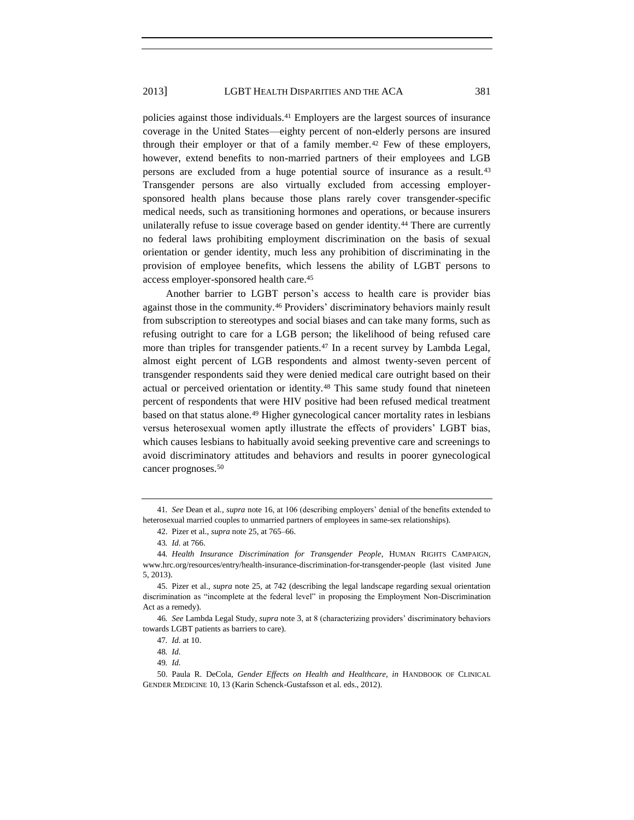policies against those individuals.<sup>41</sup> Employers are the largest sources of insurance coverage in the United States—eighty percent of non-elderly persons are insured through their employer or that of a family member.<sup>42</sup> Few of these employers, however, extend benefits to non-married partners of their employees and LGB persons are excluded from a huge potential source of insurance as a result.<sup>43</sup> Transgender persons are also virtually excluded from accessing employersponsored health plans because those plans rarely cover transgender-specific medical needs, such as transitioning hormones and operations, or because insurers unilaterally refuse to issue coverage based on gender identity.<sup>44</sup> There are currently no federal laws prohibiting employment discrimination on the basis of sexual orientation or gender identity, much less any prohibition of discriminating in the provision of employee benefits, which lessens the ability of LGBT persons to access employer-sponsored health care.<sup>45</sup>

Another barrier to LGBT person's access to health care is provider bias against those in the community.<sup>46</sup> Providers' discriminatory behaviors mainly result from subscription to stereotypes and social biases and can take many forms, such as refusing outright to care for a LGB person; the likelihood of being refused care more than triples for transgender patients.<sup>47</sup> In a recent survey by Lambda Legal, almost eight percent of LGB respondents and almost twenty-seven percent of transgender respondents said they were denied medical care outright based on their actual or perceived orientation or identity.<sup>48</sup> This same study found that nineteen percent of respondents that were HIV positive had been refused medical treatment based on that status alone.<sup>49</sup> Higher gynecological cancer mortality rates in lesbians versus heterosexual women aptly illustrate the effects of providers' LGBT bias, which causes lesbians to habitually avoid seeking preventive care and screenings to avoid discriminatory attitudes and behaviors and results in poorer gynecological cancer prognoses.<sup>50</sup>

<span id="page-7-0"></span><sup>41</sup>*. See* Dean et al., *supra* note [16,](#page-3-0) at 106 (describing employers' denial of the benefits extended to heterosexual married couples to unmarried partners of employees in same-sex relationships).

<sup>42.</sup> Pizer et al., *supra* not[e 25,](#page-5-0) at 765–66.

<sup>43</sup>*. Id.* at 766.

<sup>44</sup>*. Health Insurance Discrimination for Transgender People*, HUMAN RIGHTS CAMPAIGN, www.hrc.org/resources/entry/health-insurance-discrimination-for-transgender-people (last visited June 5, 2013).

<sup>45.</sup> Pizer et al., *supra* note [25,](#page-5-0) at 742 (describing the legal landscape regarding sexual orientation discrimination as "incomplete at the federal level" in proposing the Employment Non-Discrimination Act as a remedy).

<sup>46</sup>*. See* Lambda Legal Study, *supra* note [3](#page-1-0), at 8 (characterizing providers' discriminatory behaviors towards LGBT patients as barriers to care).

<sup>47</sup>*. Id.* at 10.

<sup>48</sup>*. Id.*

<sup>49</sup>*. Id.*

<sup>50.</sup> Paula R. DeCola, *Gender Effects on Health and Healthcare*, *in* HANDBOOK OF CLINICAL GENDER MEDICINE 10, 13 (Karin Schenck-Gustafsson et al. eds., 2012).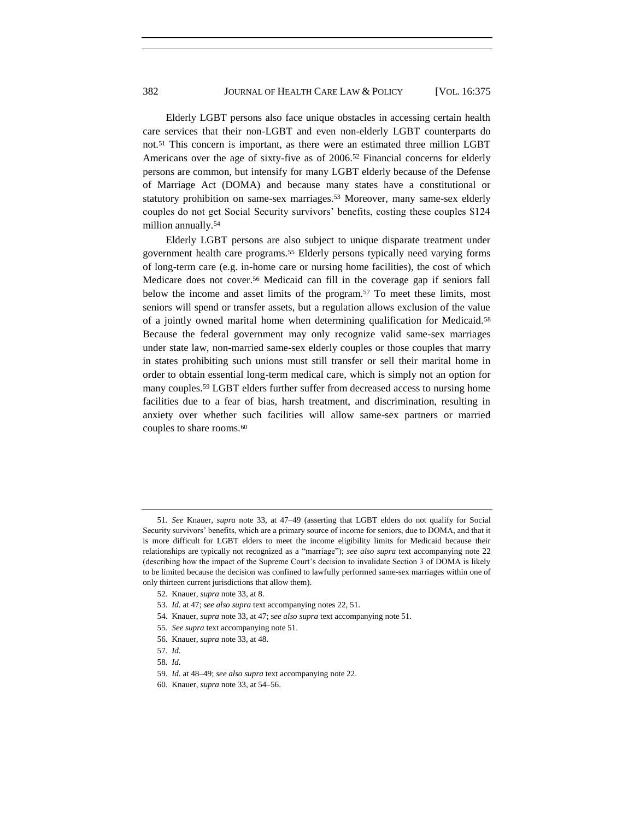<span id="page-8-0"></span>Elderly LGBT persons also face unique obstacles in accessing certain health care services that their non-LGBT and even non-elderly LGBT counterparts do not.<sup>51</sup> This concern is important, as there were an estimated three million LGBT Americans over the age of sixty-five as of 2006.<sup>52</sup> Financial concerns for elderly persons are common, but intensify for many LGBT elderly because of the Defense of Marriage Act (DOMA) and because many states have a constitutional or statutory prohibition on same-sex marriages.<sup>53</sup> Moreover, many same-sex elderly couples do not get Social Security survivors' benefits, costing these couples \$124 million annually.<sup>54</sup>

Elderly LGBT persons are also subject to unique disparate treatment under government health care programs.<sup>55</sup> Elderly persons typically need varying forms of long-term care (e.g. in-home care or nursing home facilities), the cost of which Medicare does not cover.<sup>56</sup> Medicaid can fill in the coverage gap if seniors fall below the income and asset limits of the program.<sup>57</sup> To meet these limits, most seniors will spend or transfer assets, but a regulation allows exclusion of the value of a jointly owned marital home when determining qualification for Medicaid.<sup>58</sup> Because the federal government may only recognize valid same-sex marriages under state law, non-married same-sex elderly couples or those couples that marry in states prohibiting such unions must still transfer or sell their marital home in order to obtain essential long-term medical care, which is simply not an option for many couples.<sup>59</sup> LGBT elders further suffer from decreased access to nursing home facilities due to a fear of bias, harsh treatment, and discrimination, resulting in anxiety over whether such facilities will allow same-sex partners or married couples to share rooms.<sup>60</sup>

- 54. Knauer, *supra* not[e 33,](#page-6-0) at 47; s*ee also supra* text accompanying not[e 51.](#page-8-0)
- 55*. See supra* text accompanying note [51.](#page-8-0)
- 56. Knauer, *supra* not[e 33,](#page-6-0) at 48.
- 57*. Id.*
- 58*. Id.*

<sup>51</sup>*. See* Knauer, *supra* note [33,](#page-6-0) at 47–49 (asserting that LGBT elders do not qualify for Social Security survivors' benefits, which are a primary source of income for seniors, due to DOMA, and that it is more difficult for LGBT elders to meet the income eligibility limits for Medicaid because their relationships are typically not recognized as a "marriage"); *see also supra* text accompanying note [22](#page-4-0) (describing how the impact of the Supreme Court's decision to invalidate Section 3 of DOMA is likely to be limited because the decision was confined to lawfully performed same-sex marriages within one of only thirteen current jurisdictions that allow them).

<sup>52</sup>*.* Knauer*, supra* not[e 33,](#page-6-0) at 8.

<sup>53</sup>*. Id.* at 47; *see also supra* text accompanying note[s 22,](#page-4-0) [51.](#page-8-0)

<sup>59</sup>*. Id.* at 48–49; *see also supra* text accompanying note [22.](#page-4-0)

<sup>60</sup>*.* Knauer, *supra* not[e 33,](#page-6-0) at 54–56.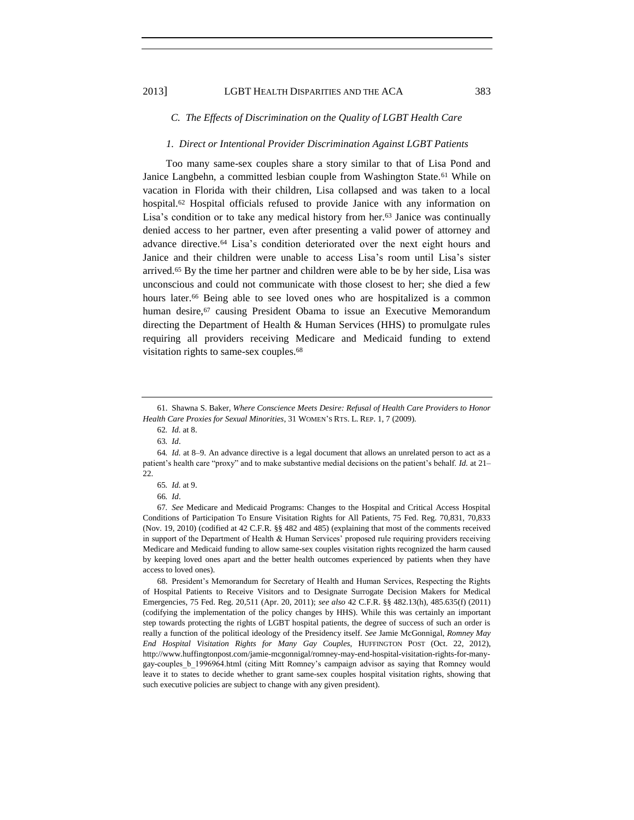#### *C. The Effects of Discrimination on the Quality of LGBT Health Care*

#### *1. Direct or Intentional Provider Discrimination Against LGBT Patients*

Too many same-sex couples share a story similar to that of Lisa Pond and Janice Langbehn, a committed lesbian couple from Washington State.<sup>61</sup> While on vacation in Florida with their children, Lisa collapsed and was taken to a local hospital.<sup>62</sup> Hospital officials refused to provide Janice with any information on Lisa's condition or to take any medical history from her.<sup>63</sup> Janice was continually denied access to her partner, even after presenting a valid power of attorney and advance directive.<sup>64</sup> Lisa's condition deteriorated over the next eight hours and Janice and their children were unable to access Lisa's room until Lisa's sister arrived.<sup>65</sup> By the time her partner and children were able to be by her side, Lisa was unconscious and could not communicate with those closest to her; she died a few hours later.<sup>66</sup> Being able to see loved ones who are hospitalized is a common human desire, $67$  causing President Obama to issue an Executive Memorandum directing the Department of Health & Human Services (HHS) to promulgate rules requiring all providers receiving Medicare and Medicaid funding to extend visitation rights to same-sex couples.<sup>68</sup>

<sup>61.</sup> Shawna S. Baker, *Where Conscience Meets Desire: Refusal of Health Care Providers to Honor Health Care Proxies for Sexual Minorities*, 31 WOMEN'S RTS. L. REP. 1, 7 (2009).

<sup>62</sup>*. Id.* at 8.

<sup>63</sup>*. Id*.

<sup>64</sup>*. Id.* at 8–9. An advance directive is a legal document that allows an unrelated person to act as a patient's health care "proxy" and to make substantive medial decisions on the patient's behalf. *Id.* at 21– 22.

<sup>65</sup>*. Id.* at 9.

<sup>66</sup>*. Id*.

<sup>67</sup>*. See* Medicare and Medicaid Programs: Changes to the Hospital and Critical Access Hospital Conditions of Participation To Ensure Visitation Rights for All Patients, 75 Fed. Reg. 70,831, 70,833 (Nov. 19, 2010) (codified at 42 C.F.R. §§ 482 and 485) (explaining that most of the comments received in support of the Department of Health & Human Services' proposed rule requiring providers receiving Medicare and Medicaid funding to allow same-sex couples visitation rights recognized the harm caused by keeping loved ones apart and the better health outcomes experienced by patients when they have access to loved ones).

<sup>68.</sup> President's Memorandum for Secretary of Health and Human Services, Respecting the Rights of Hospital Patients to Receive Visitors and to Designate Surrogate Decision Makers for Medical Emergencies, 75 Fed. Reg. 20,511 (Apr. 20, 2011); *see also* 42 C.F.R. §§ 482.13(h), 485.635(f) (2011) (codifying the implementation of the policy changes by HHS). While this was certainly an important step towards protecting the rights of LGBT hospital patients, the degree of success of such an order is really a function of the political ideology of the Presidency itself. *See* Jamie McGonnigal, *Romney May End Hospital Visitation Rights for Many Gay Couples*, HUFFINGTON POST (Oct. 22, 2012), http://www.huffingtonpost.com/jamie-mcgonnigal/romney-may-end-hospital-visitation-rights-for-manygay-couples\_b\_1996964.html (citing Mitt Romney's campaign advisor as saying that Romney would leave it to states to decide whether to grant same-sex couples hospital visitation rights, showing that such executive policies are subject to change with any given president).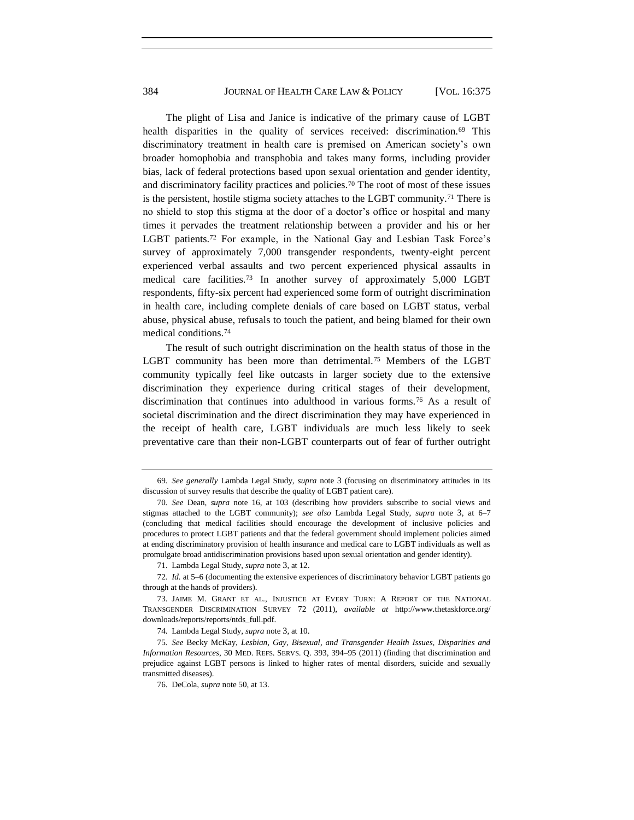The plight of Lisa and Janice is indicative of the primary cause of LGBT health disparities in the quality of services received: discrimination.<sup>69</sup> This discriminatory treatment in health care is premised on American society's own broader homophobia and transphobia and takes many forms, including provider bias, lack of federal protections based upon sexual orientation and gender identity, and discriminatory facility practices and policies.<sup>70</sup> The root of most of these issues is the persistent, hostile stigma society attaches to the LGBT community.<sup>71</sup> There is no shield to stop this stigma at the door of a doctor's office or hospital and many times it pervades the treatment relationship between a provider and his or her LGBT patients.<sup>72</sup> For example, in the National Gay and Lesbian Task Force's survey of approximately 7,000 transgender respondents, twenty-eight percent experienced verbal assaults and two percent experienced physical assaults in medical care facilities.<sup>73</sup> In another survey of approximately 5,000 LGBT respondents, fifty-six percent had experienced some form of outright discrimination in health care, including complete denials of care based on LGBT status, verbal abuse, physical abuse, refusals to touch the patient, and being blamed for their own medical conditions.<sup>74</sup>

<span id="page-10-0"></span>The result of such outright discrimination on the health status of those in the LGBT community has been more than detrimental.<sup>75</sup> Members of the LGBT community typically feel like outcasts in larger society due to the extensive discrimination they experience during critical stages of their development, discrimination that continues into adulthood in various forms.<sup>76</sup> As a result of societal discrimination and the direct discrimination they may have experienced in the receipt of health care, LGBT individuals are much less likely to seek preventative care than their non-LGBT counterparts out of fear of further outright

<sup>69</sup>*. See generally* Lambda Legal Study, *supra* note [3](#page-1-0) (focusing on discriminatory attitudes in its discussion of survey results that describe the quality of LGBT patient care).

<sup>70</sup>*. See* Dean, *supra* note [16,](#page-3-0) at 103 (describing how providers subscribe to social views and stigmas attached to the LGBT community); *see also* Lambda Legal Study, *supra* note [3](#page-1-0), at 6–7 (concluding that medical facilities should encourage the development of inclusive policies and procedures to protect LGBT patients and that the federal government should implement policies aimed at ending discriminatory provision of health insurance and medical care to LGBT individuals as well as promulgate broad antidiscrimination provisions based upon sexual orientation and gender identity).

<sup>71.</sup> Lambda Legal Study, *supra* note [3](#page-1-0), at 12.

<sup>72</sup>*. Id.* at 5–6 (documenting the extensive experiences of discriminatory behavior LGBT patients go through at the hands of providers).

<sup>73.</sup> JAIME M. GRANT ET AL., INJUSTICE AT EVERY TURN: A REPORT OF THE NATIONAL TRANSGENDER DISCRIMINATION SURVEY 72 (2011), *available at* http://www.thetaskforce.org/ downloads/reports/reports/ntds\_full.pdf.

<sup>74.</sup> Lambda Legal Study, *supra* note [3](#page-1-0), at 10.

<sup>75</sup>*. See* Becky McKay, *Lesbian, Gay, Bisexual, and Transgender Health Issues, Disparities and Information Resources*, 30 MED. REFS. SERVS. Q. 393, 394–95 (2011) (finding that discrimination and prejudice against LGBT persons is linked to higher rates of mental disorders, suicide and sexually transmitted diseases).

<sup>76.</sup> DeCola, *supra* not[e 50,](#page-7-0) at 13.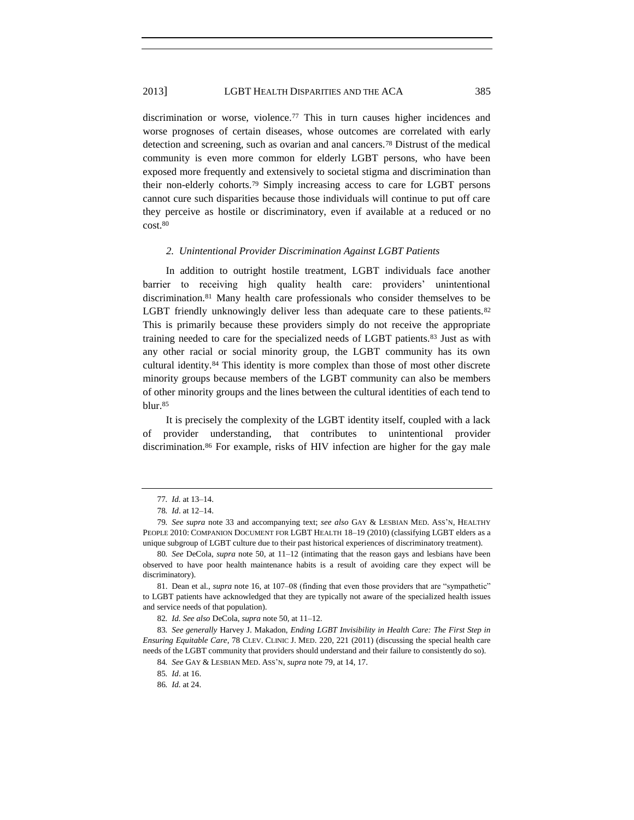discrimination or worse, violence.<sup>77</sup> This in turn causes higher incidences and worse prognoses of certain diseases, whose outcomes are correlated with early detection and screening, such as ovarian and anal cancers.<sup>78</sup> Distrust of the medical community is even more common for elderly LGBT persons, who have been exposed more frequently and extensively to societal stigma and discrimination than their non-elderly cohorts.<sup>79</sup> Simply increasing access to care for LGBT persons cannot cure such disparities because those individuals will continue to put off care they perceive as hostile or discriminatory, even if available at a reduced or no cost.<sup>80</sup>

#### <span id="page-11-1"></span><span id="page-11-0"></span>*2. Unintentional Provider Discrimination Against LGBT Patients*

In addition to outright hostile treatment, LGBT individuals face another barrier to receiving high quality health care: providers' unintentional discrimination.<sup>81</sup> Many health care professionals who consider themselves to be LGBT friendly unknowingly deliver less than adequate care to these patients.<sup>82</sup> This is primarily because these providers simply do not receive the appropriate training needed to care for the specialized needs of LGBT patients.<sup>83</sup> Just as with any other racial or social minority group, the LGBT community has its own cultural identity.<sup>84</sup> This identity is more complex than those of most other discrete minority groups because members of the LGBT community can also be members of other minority groups and the lines between the cultural identities of each tend to blur.<sup>85</sup>

It is precisely the complexity of the LGBT identity itself, coupled with a lack of provider understanding, that contributes to unintentional provider discrimination.<sup>86</sup> For example, risks of HIV infection are higher for the gay male

<sup>77</sup>*. Id.* at 13–14.

<sup>78</sup>*. Id*. at 12–14.

<sup>79</sup>*. See supra* note [33](#page-6-0) and accompanying text; *see also* GAY & LESBIAN MED. ASS'N, HEALTHY PEOPLE 2010: COMPANION DOCUMENT FOR LGBT HEALTH 18–19 (2010) (classifying LGBT elders as a unique subgroup of LGBT culture due to their past historical experiences of discriminatory treatment).

<sup>80</sup>*. See* DeCola, *supra* note [50,](#page-7-0) at 11–12 (intimating that the reason gays and lesbians have been observed to have poor health maintenance habits is a result of avoiding care they expect will be discriminatory).

<sup>81.</sup> Dean et al., *supra* not[e 16,](#page-3-0) at 107–08 (finding that even those providers that are "sympathetic" to LGBT patients have acknowledged that they are typically not aware of the specialized health issues and service needs of that population).

<sup>82</sup>*. Id. See also* DeCola, *supra* not[e 50,](#page-7-0) at 11–12.

<sup>83</sup>*. See generally* Harvey J. Makadon, *Ending LGBT Invisibility in Health Care: The First Step in Ensuring Equitable Care*, 78 CLEV. CLINIC J. MED. 220, 221 (2011) (discussing the special health care needs of the LGBT community that providers should understand and their failure to consistently do so).

<sup>84</sup>*. See* GAY & LESBIAN MED. ASS'N, *supra* not[e 79,](#page-11-0) at 14, 17.

<sup>85</sup>*. Id*. at 16.

<sup>86</sup>*. Id.* at 24.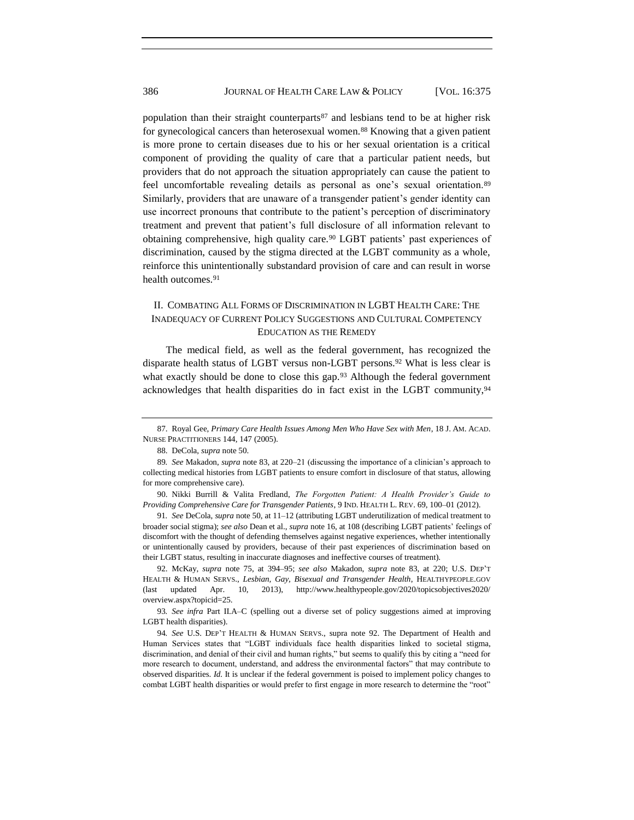population than their straight counterparts<sup>87</sup> and lesbians tend to be at higher risk for gynecological cancers than heterosexual women.<sup>88</sup> Knowing that a given patient is more prone to certain diseases due to his or her sexual orientation is a critical component of providing the quality of care that a particular patient needs, but providers that do not approach the situation appropriately can cause the patient to feel uncomfortable revealing details as personal as one's sexual orientation.<sup>89</sup> Similarly, providers that are unaware of a transgender patient's gender identity can use incorrect pronouns that contribute to the patient's perception of discriminatory treatment and prevent that patient's full disclosure of all information relevant to obtaining comprehensive, high quality care.<sup>90</sup> LGBT patients' past experiences of discrimination, caused by the stigma directed at the LGBT community as a whole, reinforce this unintentionally substandard provision of care and can result in worse health outcomes.<sup>91</sup>

## <span id="page-12-0"></span>II. COMBATING ALL FORMS OF DISCRIMINATION IN LGBT HEALTH CARE: THE INADEQUACY OF CURRENT POLICY SUGGESTIONS AND CULTURAL COMPETENCY EDUCATION AS THE REMEDY

The medical field, as well as the federal government, has recognized the disparate health status of LGBT versus non-LGBT persons.<sup>92</sup> What is less clear is what exactly should be done to close this gap.<sup>93</sup> Although the federal government acknowledges that health disparities do in fact exist in the LGBT community,<sup>94</sup>

91*. See* DeCola, *supra* note [50,](#page-7-0) at 11–12 (attributing LGBT underutilization of medical treatment to broader social stigma); *see also* Dean et al., *supra* not[e 16,](#page-3-0) at 108 (describing LGBT patients' feelings of discomfort with the thought of defending themselves against negative experiences, whether intentionally or unintentionally caused by providers, because of their past experiences of discrimination based on their LGBT status, resulting in inaccurate diagnoses and ineffective courses of treatment).

92. McKay, *supra* note [75,](#page-10-0) at 394–95; *see also* Makadon, *supra* note [83,](#page-11-1) at 220; U.S. DEP'T HEALTH & HUMAN SERVS., *Lesbian, Gay, Bisexual and Transgender Health*, HEALTHYPEOPLE.GOV (last updated Apr. 10, 2013), http://www.healthypeople.gov/2020/topicsobjectives2020/ overview.aspx?topicid=25.

93*. See infra* Part II.A–C (spelling out a diverse set of policy suggestions aimed at improving LGBT health disparities).

94*. See* U.S. DEP'T HEALTH & HUMAN SERVS., supra note [92.](#page-12-0) The Department of Health and Human Services states that "LGBT individuals face health disparities linked to societal stigma, discrimination, and denial of their civil and human rights," but seems to qualify this by citing a "need for more research to document, understand, and address the environmental factors" that may contribute to observed disparities. *Id.* It is unclear if the federal government is poised to implement policy changes to combat LGBT health disparities or would prefer to first engage in more research to determine the "root"

<sup>87.</sup> Royal Gee, *Primary Care Health Issues Among Men Who Have Sex with Men*, 18 J. AM. ACAD. NURSE PRACTITIONERS 144, 147 (2005).

<sup>88.</sup> DeCola, *supra* not[e 50.](#page-7-0)

<sup>89</sup>*. See* Makadon, *supra* not[e 83,](#page-11-1) at 220–21 (discussing the importance of a clinician's approach to collecting medical histories from LGBT patients to ensure comfort in disclosure of that status, allowing for more comprehensive care).

<sup>90.</sup> Nikki Burrill & Valita Fredland, *The Forgotten Patient: A Health Provider's Guide to Providing Comprehensive Care for Transgender Patients*, 9 IND. HEALTH L. REV. 69, 100–01 (2012).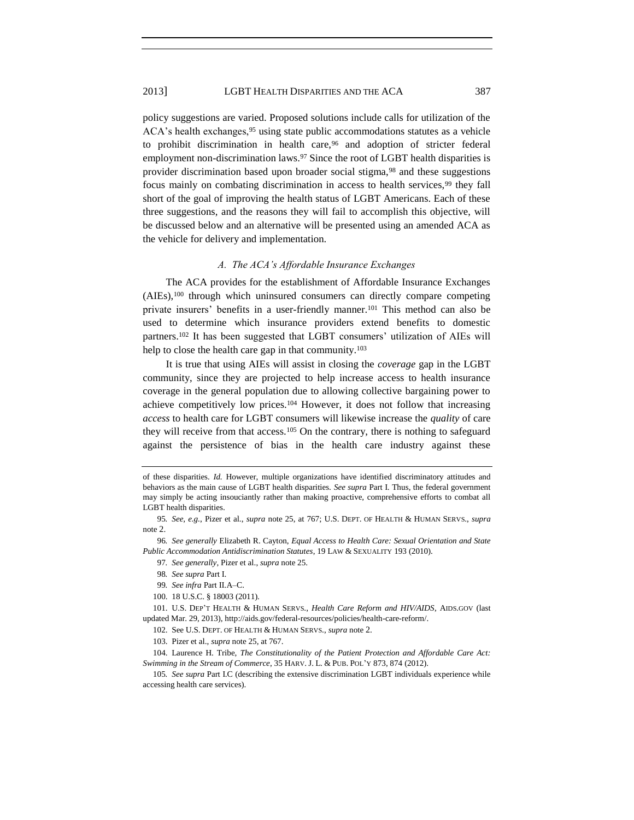policy suggestions are varied. Proposed solutions include calls for utilization of the ACA's health exchanges, <sup>95</sup> using state public accommodations statutes as a vehicle to prohibit discrimination in health care,<sup>96</sup> and adoption of stricter federal employment non-discrimination laws.<sup>97</sup> Since the root of LGBT health disparities is provider discrimination based upon broader social stigma,<sup>98</sup> and these suggestions focus mainly on combating discrimination in access to health services,<sup>99</sup> they fall short of the goal of improving the health status of LGBT Americans. Each of these three suggestions, and the reasons they will fail to accomplish this objective, will be discussed below and an alternative will be presented using an amended ACA as the vehicle for delivery and implementation.

#### <span id="page-13-1"></span>*A. The ACA's Affordable Insurance Exchanges*

The ACA provides for the establishment of Affordable Insurance Exchanges (AIEs),<sup>100</sup> through which uninsured consumers can directly compare competing private insurers' benefits in a user-friendly manner.<sup>101</sup> This method can also be used to determine which insurance providers extend benefits to domestic partners.<sup>102</sup> It has been suggested that LGBT consumers' utilization of AIEs will help to close the health care gap in that community.<sup>103</sup>

It is true that using AIEs will assist in closing the *coverage* gap in the LGBT community, since they are projected to help increase access to health insurance coverage in the general population due to allowing collective bargaining power to achieve competitively low prices.<sup>104</sup> However, it does not follow that increasing *access* to health care for LGBT consumers will likewise increase the *quality* of care they will receive from that access.<sup>105</sup> On the contrary, there is nothing to safeguard against the persistence of bias in the health care industry against these

97*. See generally*, Pizer et al., *supra* not[e 25.](#page-5-0)

- 98*. See supra* Part I.
- 99*. See infra* Part II.A–C.
- 100. 18 U.S.C. § 18003 (2011).

101. U.S. DEP'T HEALTH & HUMAN SERVS., *Health Care Reform and HIV/AIDS*, AIDS.GOV (last updated Mar. 29, 2013), http://aids.gov/federal-resources/policies/health-care-reform/.

102. See U.S. DEPT. OF HEALTH & HUMAN SERVS., *supra* note [2](#page-1-1).

104. Laurence H. Tribe, *The Constitutionality of the Patient Protection and Affordable Care Act: Swimming in the Stream of Commerce*, 35 HARV. J. L. & PUB. POL'Y 873, 874 (2012).

<span id="page-13-0"></span>

of these disparities. *Id.* However, multiple organizations have identified discriminatory attitudes and behaviors as the main cause of LGBT health disparities. *See supra* Part I. Thus, the federal government may simply be acting insouciantly rather than making proactive, comprehensive efforts to combat all LGBT health disparities.

<sup>95</sup>*. See, e.g.*, Pizer et al., *supra* note [25,](#page-5-0) at 767; U.S. DEPT. OF HEALTH & HUMAN SERVS., *[supra](http://www.healthcare.gov/news/factsheets/2011/01/new-options-for-lgbt-americans.htmlsupra)* note [2](#page-1-1).

<sup>96</sup>*. See generally* Elizabeth R. Cayton, *Equal Access to Health Care: Sexual Orientation and State Public Accommodation Antidiscrimination Statutes*, 19 LAW & SEXUALITY 193 (2010).

<sup>103.</sup> Pizer et al., *supra* not[e 25,](#page-5-0) at 767.

<sup>105</sup>*. See supra* Part I.C (describing the extensive discrimination LGBT individuals experience while accessing health care services).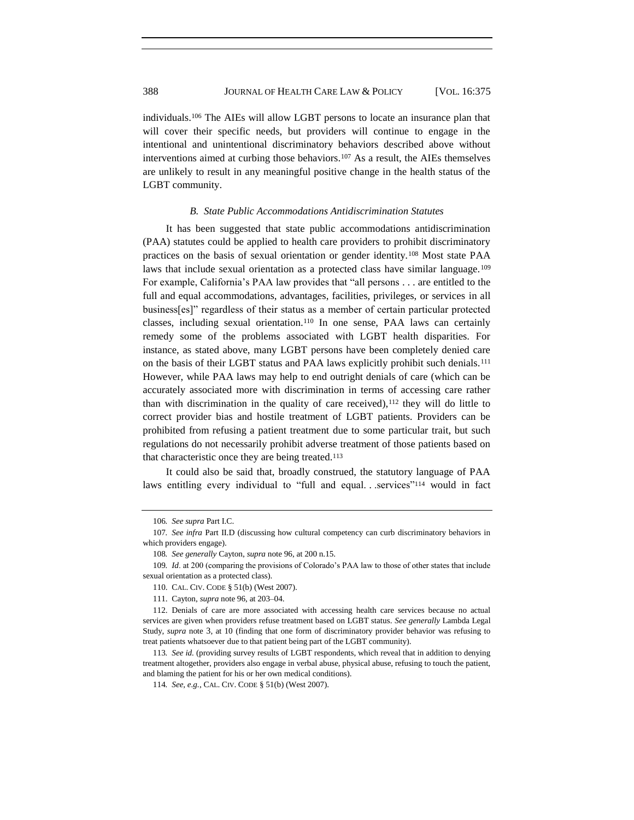individuals.<sup>106</sup> The AIEs will allow LGBT persons to locate an insurance plan that will cover their specific needs, but providers will continue to engage in the intentional and unintentional discriminatory behaviors described above without interventions aimed at curbing those behaviors.<sup>107</sup> As a result, the AIEs themselves are unlikely to result in any meaningful positive change in the health status of the LGBT community.

#### *B. State Public Accommodations Antidiscrimination Statutes*

It has been suggested that state public accommodations antidiscrimination (PAA) statutes could be applied to health care providers to prohibit discriminatory practices on the basis of sexual orientation or gender identity.<sup>108</sup> Most state PAA laws that include sexual orientation as a protected class have similar language.<sup>109</sup> For example, California's PAA law provides that "all persons . . . are entitled to the full and equal accommodations, advantages, facilities, privileges, or services in all business[es]‖ regardless of their status as a member of certain particular protected classes, including sexual orientation.<sup>110</sup> In one sense, PAA laws can certainly remedy some of the problems associated with LGBT health disparities. For instance, as stated above, many LGBT persons have been completely denied care on the basis of their LGBT status and PAA laws explicitly prohibit such denials.<sup>111</sup> However, while PAA laws may help to end outright denials of care (which can be accurately associated more with discrimination in terms of accessing care rather than with discrimination in the quality of care received),<sup>112</sup> they will do little to correct provider bias and hostile treatment of LGBT patients. Providers can be prohibited from refusing a patient treatment due to some particular trait, but such regulations do not necessarily prohibit adverse treatment of those patients based on that characteristic once they are being treated.<sup>113</sup>

It could also be said that, broadly construed, the statutory language of PAA laws entitling every individual to "full and equal. . .services"<sup>114</sup> would in fact

<sup>106</sup>*. See supra* Part I.C.

<sup>107</sup>*. See infra* Part II.D (discussing how cultural competency can curb discriminatory behaviors in which providers engage).

<sup>108</sup>*. See generally* Cayton, *supra* not[e 96,](#page-13-0) at 200 n.15.

<sup>109</sup>*. Id*. at 200 (comparing the provisions of Colorado's PAA law to those of other states that include sexual orientation as a protected class).

<sup>110.</sup> CAL. CIV. CODE § 51(b) (West 2007).

<sup>111.</sup> Cayton, *supra* not[e 96,](#page-13-0) at 203–04.

<sup>112.</sup> Denials of care are more associated with accessing health care services because no actual services are given when providers refuse treatment based on LGBT status. *See generally* Lambda Legal Study, *supra* note [3](#page-1-0), at 10 (finding that one form of discriminatory provider behavior was refusing to treat patients whatsoever due to that patient being part of the LGBT community).

<sup>113</sup>*. See id.* (providing survey results of LGBT respondents, which reveal that in addition to denying treatment altogether, providers also engage in verbal abuse, physical abuse, refusing to touch the patient, and blaming the patient for his or her own medical conditions).

<sup>114</sup>*. See, e.g.*, CAL. CIV. CODE § 51(b) (West 2007).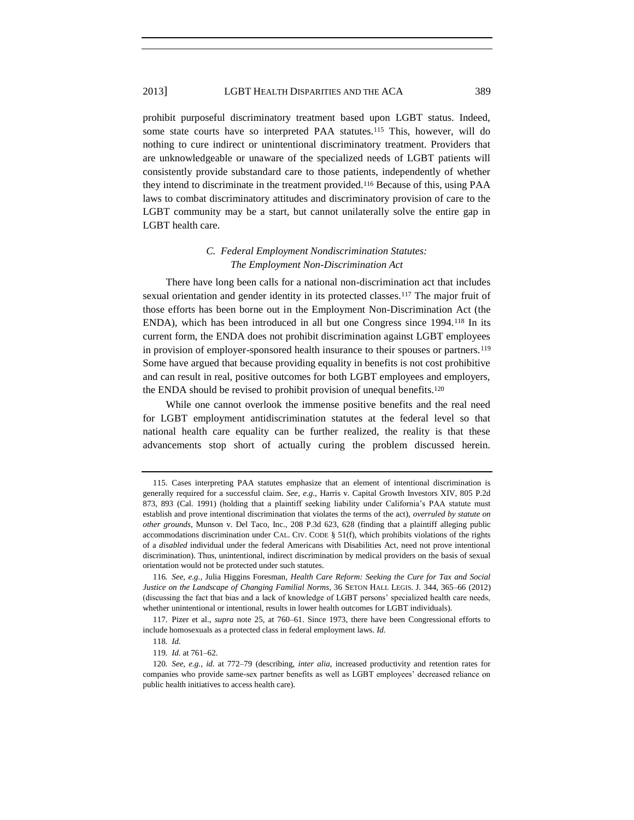prohibit purposeful discriminatory treatment based upon LGBT status. Indeed, some state courts have so interpreted PAA statutes.<sup>115</sup> This, however, will do nothing to cure indirect or unintentional discriminatory treatment. Providers that are unknowledgeable or unaware of the specialized needs of LGBT patients will consistently provide substandard care to those patients, independently of whether they intend to discriminate in the treatment provided.<sup>116</sup> Because of this, using PAA laws to combat discriminatory attitudes and discriminatory provision of care to the LGBT community may be a start, but cannot unilaterally solve the entire gap in LGBT health care.

## *C. Federal Employment Nondiscrimination Statutes: The Employment Non-Discrimination Act*

There have long been calls for a national non-discrimination act that includes sexual orientation and gender identity in its protected classes.<sup>117</sup> The major fruit of those efforts has been borne out in the Employment Non-Discrimination Act (the ENDA), which has been introduced in all but one Congress since 1994.<sup>118</sup> In its current form, the ENDA does not prohibit discrimination against LGBT employees in provision of employer-sponsored health insurance to their spouses or partners.<sup>119</sup> Some have argued that because providing equality in benefits is not cost prohibitive and can result in real, positive outcomes for both LGBT employees and employers, the ENDA should be revised to prohibit provision of unequal benefits.<sup>120</sup>

While one cannot overlook the immense positive benefits and the real need for LGBT employment antidiscrimination statutes at the federal level so that national health care equality can be further realized, the reality is that these advancements stop short of actually curing the problem discussed herein.

<sup>115.</sup> Cases interpreting PAA statutes emphasize that an element of intentional discrimination is generally required for a successful claim. *See, e.g.*, Harris v. Capital Growth Investors XIV, 805 P.2d 873, 893 (Cal. 1991) (holding that a plaintiff seeking liability under California's PAA statute must establish and prove intentional discrimination that violates the terms of the act), *overruled by statute on other grounds*, Munson v. Del Taco, Inc., 208 P.3d 623, 628 (finding that a plaintiff alleging public accommodations discrimination under CAL. CIV. CODE § 51(f), which prohibits violations of the rights of a *disabled* individual under the federal Americans with Disabilities Act, need not prove intentional discrimination). Thus, unintentional, indirect discrimination by medical providers on the basis of sexual orientation would not be protected under such statutes.

<sup>116</sup>*. See, e.g.*, Julia Higgins Foresman, *Health Care Reform: Seeking the Cure for Tax and Social Justice on the Landscape of Changing Familial Norms*, 36 SETON HALL LEGIS. J. 344, 365–66 (2012) (discussing the fact that bias and a lack of knowledge of LGBT persons' specialized health care needs, whether unintentional or intentional, results in lower health outcomes for LGBT individuals).

<sup>117.</sup> Pizer et al., *supra* note [25,](#page-5-0) at 760–61. Since 1973, there have been Congressional efforts to include homosexuals as a protected class in federal employment laws. *Id.*

<sup>118</sup>*. Id.*

<sup>119</sup>*. Id.* at 761–62.

<sup>120</sup>*. See, e.g.*, *id.* at 772–79 (describing, *inter alia*, increased productivity and retention rates for companies who provide same-sex partner benefits as well as LGBT employees' decreased reliance on public health initiatives to access health care).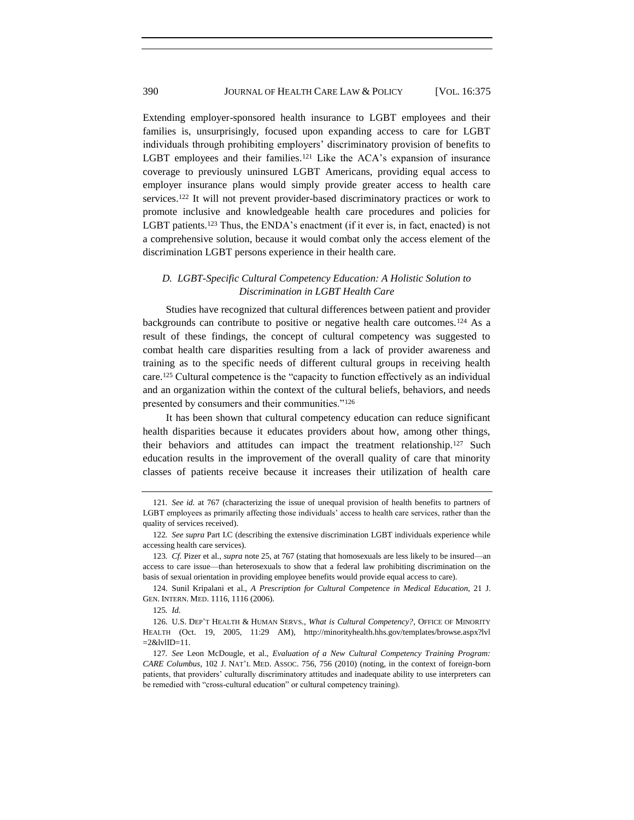Extending employer-sponsored health insurance to LGBT employees and their families is, unsurprisingly, focused upon expanding access to care for LGBT individuals through prohibiting employers' discriminatory provision of benefits to LGBT employees and their families.<sup>121</sup> Like the ACA's expansion of insurance coverage to previously uninsured LGBT Americans, providing equal access to employer insurance plans would simply provide greater access to health care services.<sup>122</sup> It will not prevent provider-based discriminatory practices or work to promote inclusive and knowledgeable health care procedures and policies for LGBT patients.<sup>123</sup> Thus, the ENDA's enactment (if it ever is, in fact, enacted) is not a comprehensive solution, because it would combat only the access element of the discrimination LGBT persons experience in their health care.

## <span id="page-16-0"></span>*D. LGBT-Specific Cultural Competency Education: A Holistic Solution to Discrimination in LGBT Health Care*

Studies have recognized that cultural differences between patient and provider backgrounds can contribute to positive or negative health care outcomes.<sup>124</sup> As a result of these findings, the concept of cultural competency was suggested to combat health care disparities resulting from a lack of provider awareness and training as to the specific needs of different cultural groups in receiving health care.<sup>125</sup> Cultural competence is the "capacity to function effectively as an individual and an organization within the context of the cultural beliefs, behaviors, and needs presented by consumers and their communities."<sup>126</sup>

<span id="page-16-1"></span>It has been shown that cultural competency education can reduce significant health disparities because it educates providers about how, among other things, their behaviors and attitudes can impact the treatment relationship.<sup>127</sup> Such education results in the improvement of the overall quality of care that minority classes of patients receive because it increases their utilization of health care

<sup>121</sup>*. See id.* at 767 (characterizing the issue of unequal provision of health benefits to partners of LGBT employees as primarily affecting those individuals' access to health care services, rather than the quality of services received).

<sup>122</sup>*. See supra* Part I.C (describing the extensive discrimination LGBT individuals experience while accessing health care services).

<sup>123</sup>*. Cf.* Pizer et al., *supra* not[e 25,](#page-5-0) at 767 (stating that homosexuals are less likely to be insured—an access to care issue—than heterosexuals to show that a federal law prohibiting discrimination on the basis of sexual orientation in providing employee benefits would provide equal access to care).

<sup>124.</sup> Sunil Kripalani et al., *A Prescription for Cultural Competence in Medical Education*, 21 J. GEN. INTERN. MED. 1116, 1116 (2006).

<sup>125</sup>*. Id.*

<sup>126.</sup> U.S. DEP'T HEALTH & HUMAN SERVS., *What is Cultural Competency?*, OFFICE OF MINORITY HEALTH (Oct. 19, 2005, 11:29 AM), http://minorityhealth.hhs.gov/templates/browse.aspx?lvl  $=2&$ lvlID $=11$ .

<sup>127</sup>*. See* Leon McDougle, et al., *Evaluation of a New Cultural Competency Training Program: CARE Columbus*, 102 J. NAT'L MED. ASSOC. 756, 756 (2010) (noting, in the context of foreign-born patients, that providers' culturally discriminatory attitudes and inadequate ability to use interpreters can be remedied with "cross-cultural education" or cultural competency training).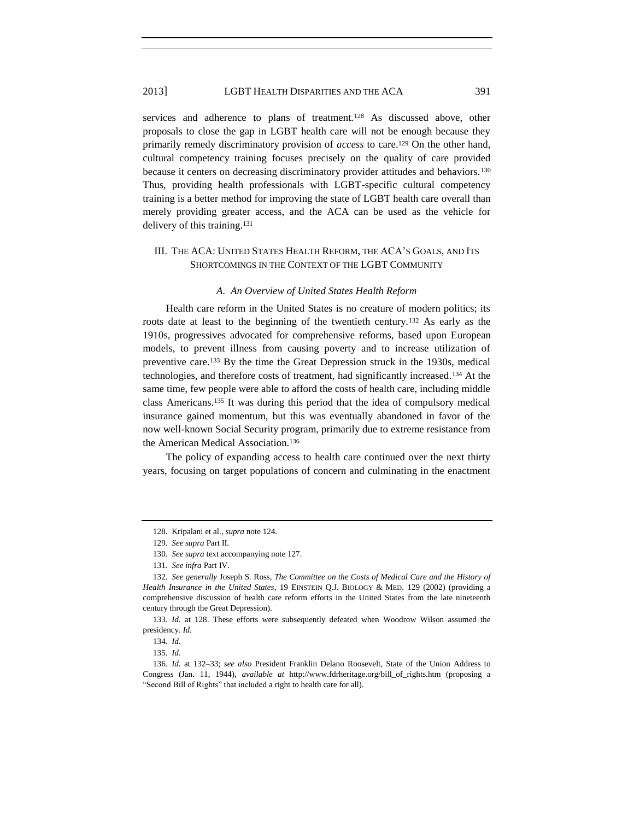services and adherence to plans of treatment.<sup>128</sup> As discussed above, other proposals to close the gap in LGBT health care will not be enough because they primarily remedy discriminatory provision of *access* to care.<sup>129</sup> On the other hand, cultural competency training focuses precisely on the quality of care provided because it centers on decreasing discriminatory provider attitudes and behaviors.<sup>130</sup> Thus, providing health professionals with LGBT-specific cultural competency training is a better method for improving the state of LGBT health care overall than merely providing greater access, and the ACA can be used as the vehicle for delivery of this training.<sup>131</sup>

## III. THE ACA: UNITED STATES HEALTH REFORM, THE ACA'S GOALS, AND ITS SHORTCOMINGS IN THE CONTEXT OF THE LGBT COMMUNITY

#### *A. An Overview of United States Health Reform*

Health care reform in the United States is no creature of modern politics; its roots date at least to the beginning of the twentieth century.<sup>132</sup> As early as the 1910s, progressives advocated for comprehensive reforms, based upon European models, to prevent illness from causing poverty and to increase utilization of preventive care.<sup>133</sup> By the time the Great Depression struck in the 1930s, medical technologies, and therefore costs of treatment, had significantly increased.<sup>134</sup> At the same time, few people were able to afford the costs of health care, including middle class Americans.<sup>135</sup> It was during this period that the idea of compulsory medical insurance gained momentum, but this was eventually abandoned in favor of the now well-known Social Security program, primarily due to extreme resistance from the American Medical Association.<sup>136</sup>

The policy of expanding access to health care continued over the next thirty years, focusing on target populations of concern and culminating in the enactment

<sup>128.</sup> Kripalani et al.*, supra* note [124](#page-16-0)*.*

<sup>129</sup>*. See supra* Part II.

<sup>130</sup>*. See supra* text accompanying note [127.](#page-16-1)

<sup>131</sup>*. See infra* Part IV.

<sup>132</sup>*. See generally* Joseph S. Ross, *The Committee on the Costs of Medical Care and the History of Health Insurance in the United States*, 19 EINSTEIN Q.J. BIOLOGY & MED. 129 (2002) (providing a comprehensive discussion of health care reform efforts in the United States from the late nineteenth century through the Great Depression).

<sup>133</sup>*. Id.* at 128. These efforts were subsequently defeated when Woodrow Wilson assumed the presidency. *Id.*

<sup>134</sup>*. Id.*

<sup>135</sup>*. Id.*

<sup>136</sup>*. Id.* at 132–33; *see also* President Franklin Delano Roosevelt, State of the Union Address to Congress (Jan. 11, 1944), *available at* http://www.fdrheritage.org/bill\_of\_rights.htm (proposing a ―Second Bill of Rights‖ that included a right to health care for all).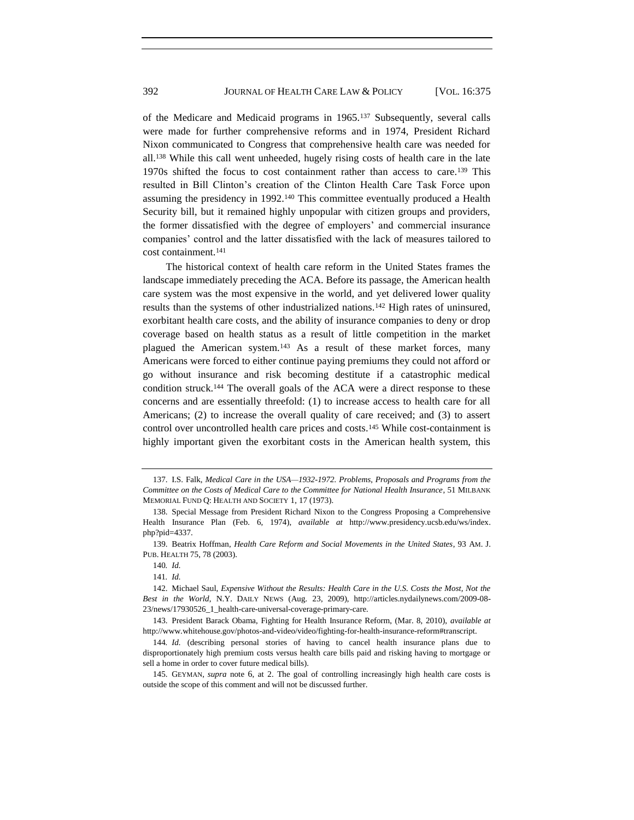of the Medicare and Medicaid programs in 1965.<sup>137</sup> Subsequently, several calls were made for further comprehensive reforms and in 1974, President Richard Nixon communicated to Congress that comprehensive health care was needed for all.<sup>138</sup> While this call went unheeded, hugely rising costs of health care in the late 1970s shifted the focus to cost containment rather than access to care.<sup>139</sup> This resulted in Bill Clinton's creation of the Clinton Health Care Task Force upon assuming the presidency in 1992.<sup>140</sup> This committee eventually produced a Health Security bill, but it remained highly unpopular with citizen groups and providers, the former dissatisfied with the degree of employers' and commercial insurance companies' control and the latter dissatisfied with the lack of measures tailored to cost containment.<sup>141</sup>

The historical context of health care reform in the United States frames the landscape immediately preceding the ACA. Before its passage, the American health care system was the most expensive in the world, and yet delivered lower quality results than the systems of other industrialized nations.<sup>142</sup> High rates of uninsured, exorbitant health care costs, and the ability of insurance companies to deny or drop coverage based on health status as a result of little competition in the market plagued the American system.<sup>143</sup> As a result of these market forces, many Americans were forced to either continue paying premiums they could not afford or go without insurance and risk becoming destitute if a catastrophic medical condition struck.<sup>144</sup> The overall goals of the ACA were a direct response to these concerns and are essentially threefold: (1) to increase access to health care for all Americans; (2) to increase the overall quality of care received; and (3) to assert control over uncontrolled health care prices and costs.<sup>145</sup> While cost-containment is highly important given the exorbitant costs in the American health system, this

<sup>137.</sup> I.S. Falk, *Medical Care in the USA—1932-1972. Problems, Proposals and Programs from the Committee on the Costs of Medical Care to the Committee for National Health Insurance*, 51 MILBANK MEMORIAL FUND Q: HEALTH AND SOCIETY 1, 17 (1973).

<sup>138.</sup> Special Message from President Richard Nixon to the Congress Proposing a Comprehensive Health Insurance Plan (Feb. 6, 1974), *available at* http://www.presidency.ucsb.edu/ws/index. php?pid=4337.

<sup>139.</sup> Beatrix Hoffman, *Health Care Reform and Social Movements in the United States*, 93 AM. J. PUB. HEALTH 75, 78 (2003).

<sup>140</sup>*. Id.*

<sup>141</sup>*. Id.*

<sup>142.</sup> Michael Saul, *Expensive Without the Results: Health Care in the U.S. Costs the Most, Not the Best in the World*, N.Y. DAILY NEWS (Aug. 23, 2009), http://articles.nydailynews.com/2009-08- 23/news/17930526\_1\_health-care-universal-coverage-primary-care.

<sup>143.</sup> President Barack Obama, Fighting for Health Insurance Reform, (Mar. 8, 2010), *available at*  http://www.whitehouse.gov/photos-and-video/video/fighting-for-health-insurance-reform#transcript.

<sup>144</sup>*. Id.* (describing personal stories of having to cancel health insurance plans due to disproportionately high premium costs versus health care bills paid and risking having to mortgage or sell a home in order to cover future medical bills).

<sup>145.</sup> GEYMAN, *supra* note [6](#page-2-0), at 2. The goal of controlling increasingly high health care costs is outside the scope of this comment and will not be discussed further.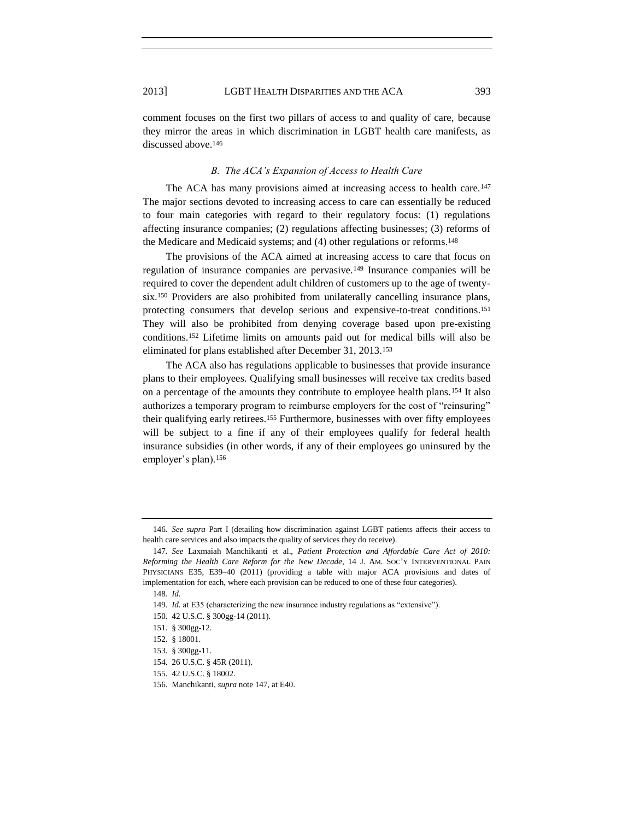discussed above.<sup>146</sup>

comment focuses on the first two pillars of access to and quality of care, because they mirror the areas in which discrimination in LGBT health care manifests, as

#### <span id="page-19-0"></span>*B. The ACA's Expansion of Access to Health Care*

The ACA has many provisions aimed at increasing access to health care.<sup>147</sup> The major sections devoted to increasing access to care can essentially be reduced to four main categories with regard to their regulatory focus: (1) regulations affecting insurance companies; (2) regulations affecting businesses; (3) reforms of the Medicare and Medicaid systems; and (4) other regulations or reforms.<sup>148</sup>

The provisions of the ACA aimed at increasing access to care that focus on regulation of insurance companies are pervasive.<sup>149</sup> Insurance companies will be required to cover the dependent adult children of customers up to the age of twentysix.<sup>150</sup> Providers are also prohibited from unilaterally cancelling insurance plans, protecting consumers that develop serious and expensive-to-treat conditions.<sup>151</sup> They will also be prohibited from denying coverage based upon pre-existing conditions.<sup>152</sup> Lifetime limits on amounts paid out for medical bills will also be eliminated for plans established after December 31, 2013.<sup>153</sup>

The ACA also has regulations applicable to businesses that provide insurance plans to their employees. Qualifying small businesses will receive tax credits based on a percentage of the amounts they contribute to employee health plans.<sup>154</sup> It also authorizes a temporary program to reimburse employers for the cost of "reinsuring" their qualifying early retirees.<sup>155</sup> Furthermore, businesses with over fifty employees will be subject to a fine if any of their employees qualify for federal health insurance subsidies (in other words, if any of their employees go uninsured by the employer's plan).<sup>156</sup>

<sup>146</sup>*. See supra* Part I (detailing how discrimination against LGBT patients affects their access to health care services and also impacts the quality of services they do receive).

<sup>147</sup>*. See* Laxmaiah Manchikanti et al., *Patient Protection and Affordable Care Act of 2010: Reforming the Health Care Reform for the New Decade*, 14 J. AM. SOC'Y INTERVENTIONAL PAIN PHYSICIANS E35, E39–40 (2011) (providing a table with major ACA provisions and dates of implementation for each, where each provision can be reduced to one of these four categories).

<sup>148</sup>*. Id.*

<sup>149.</sup> *Id.* at E35 (characterizing the new insurance industry regulations as "extensive").

<sup>150.</sup> 42 U.S.C. § 300gg-14 (2011).

<sup>151.</sup> § 300gg-12.

<sup>152.</sup> § 18001.

<sup>153.</sup> § 300gg-11.

<sup>154.</sup> 26 U.S.C. § 45R (2011).

<sup>155.</sup> 42 U.S.C. § 18002.

<sup>156.</sup> Manchikanti, *supra* not[e 147,](#page-19-0) at E40.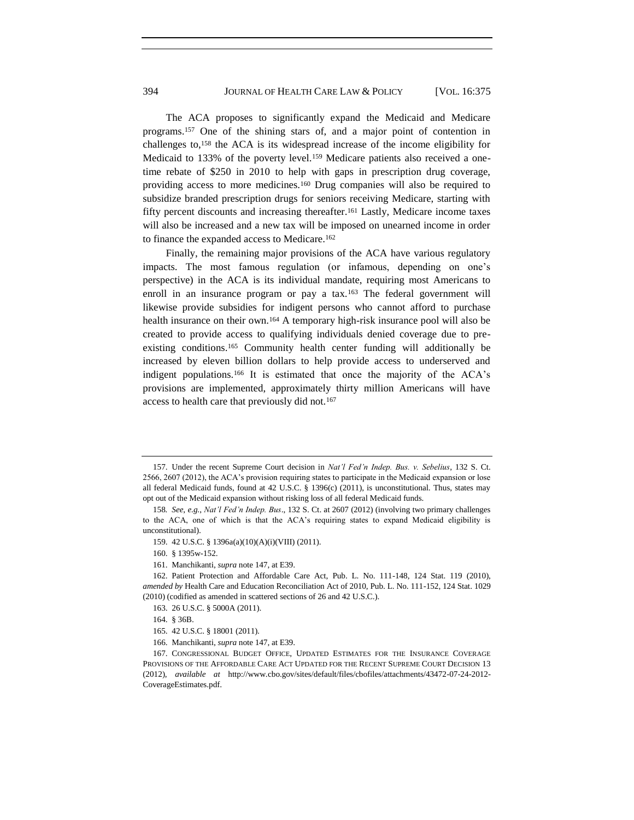The ACA proposes to significantly expand the Medicaid and Medicare programs.<sup>157</sup> One of the shining stars of, and a major point of contention in challenges to,<sup>158</sup> the ACA is its widespread increase of the income eligibility for Medicaid to 133% of the poverty level.<sup>159</sup> Medicare patients also received a onetime rebate of \$250 in 2010 to help with gaps in prescription drug coverage, providing access to more medicines.<sup>160</sup> Drug companies will also be required to subsidize branded prescription drugs for seniors receiving Medicare, starting with fifty percent discounts and increasing thereafter.<sup>161</sup> Lastly, Medicare income taxes will also be increased and a new tax will be imposed on unearned income in order to finance the expanded access to Medicare.<sup>162</sup>

Finally, the remaining major provisions of the ACA have various regulatory impacts. The most famous regulation (or infamous, depending on one's perspective) in the ACA is its individual mandate, requiring most Americans to enroll in an insurance program or pay a tax.<sup>163</sup> The federal government will likewise provide subsidies for indigent persons who cannot afford to purchase health insurance on their own.<sup>164</sup> A temporary high-risk insurance pool will also be created to provide access to qualifying individuals denied coverage due to preexisting conditions.<sup>165</sup> Community health center funding will additionally be increased by eleven billion dollars to help provide access to underserved and indigent populations.<sup>166</sup> It is estimated that once the majority of the ACA's provisions are implemented, approximately thirty million Americans will have access to health care that previously did not.<sup>167</sup>

163. 26 U.S.C. § 5000A (2011).

<sup>157.</sup> Under the recent Supreme Court decision in *Nat'l Fed'n Indep. Bus. v. Sebelius*, 132 S. Ct. 2566, 2607 (2012), the ACA's provision requiring states to participate in the Medicaid expansion or lose all federal Medicaid funds, found at 42 U.S.C. § 1396(c) (2011), is unconstitutional. Thus, states may opt out of the Medicaid expansion without risking loss of all federal Medicaid funds.

<sup>158</sup>*. See*, *e.g.*, *Nat'l Fed'n Indep. Bus*., 132 S. Ct. at 2607 (2012) (involving two primary challenges to the ACA, one of which is that the ACA's requiring states to expand Medicaid eligibility is unconstitutional).

<sup>159.</sup> 42 U.S.C. § 1396a(a)(10)(A)(i)(VIII) (2011).

<sup>160.</sup> § 1395w-152.

<sup>161.</sup> Manchikanti, *supra* not[e 147,](#page-19-0) at E39.

<sup>162.</sup> Patient Protection and Affordable Care Act, Pub. L. No. 111-148, 124 Stat. 119 (2010), *amended by* Health Care and Education Reconciliation Act of 2010, Pub. L. No. 111-152, 124 Stat. 1029 (2010) (codified as amended in scattered sections of 26 and 42 U.S.C.).

<sup>164.</sup> § 36B.

<sup>165.</sup> 42 U.S.C. § 18001 (2011).

<sup>166.</sup> Manchikanti, *supra* not[e 147,](#page-19-0) at E39.

<sup>167.</sup> CONGRESSIONAL BUDGET OFFICE, UPDATED ESTIMATES FOR THE INSURANCE COVERAGE PROVISIONS OF THE AFFORDABLE CARE ACT UPDATED FOR THE RECENT SUPREME COURT DECISION 13 (2012), *available at* http://www.cbo.gov/sites/default/files/cbofiles/attachments/43472-07-24-2012- CoverageEstimates.pdf.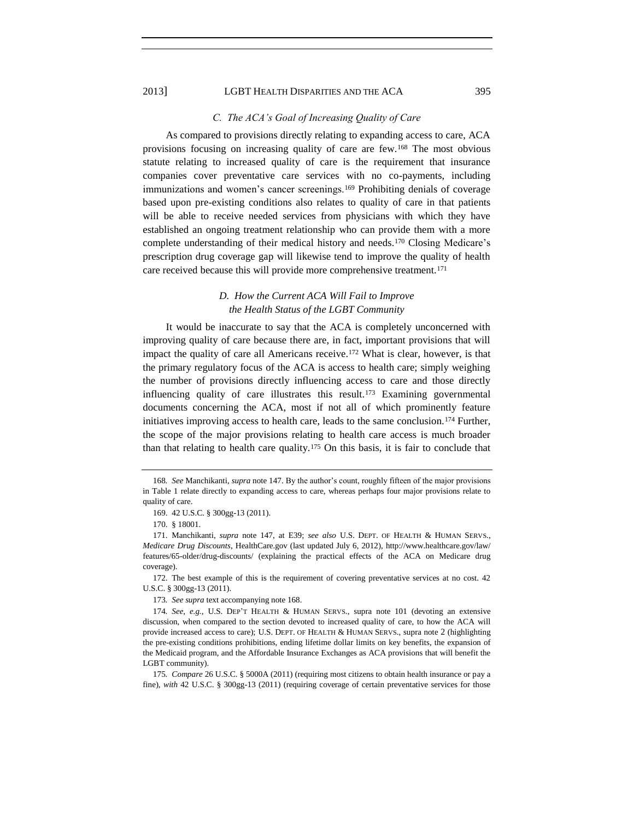#### <span id="page-21-0"></span>*C. The ACA's Goal of Increasing Quality of Care*

As compared to provisions directly relating to expanding access to care, ACA provisions focusing on increasing quality of care are few.<sup>168</sup> The most obvious statute relating to increased quality of care is the requirement that insurance companies cover preventative care services with no co-payments, including immunizations and women's cancer screenings.<sup>169</sup> Prohibiting denials of coverage based upon pre-existing conditions also relates to quality of care in that patients will be able to receive needed services from physicians with which they have established an ongoing treatment relationship who can provide them with a more complete understanding of their medical history and needs.<sup>170</sup> Closing Medicare's prescription drug coverage gap will likewise tend to improve the quality of health care received because this will provide more comprehensive treatment.<sup>171</sup>

## *D. How the Current ACA Will Fail to Improve the Health Status of the LGBT Community*

It would be inaccurate to say that the ACA is completely unconcerned with improving quality of care because there are, in fact, important provisions that will impact the quality of care all Americans receive.<sup>172</sup> What is clear, however, is that the primary regulatory focus of the ACA is access to health care; simply weighing the number of provisions directly influencing access to care and those directly influencing quality of care illustrates this result.<sup>173</sup> Examining governmental documents concerning the ACA, most if not all of which prominently feature initiatives improving access to health care, leads to the same conclusion.<sup>174</sup> Further, the scope of the major provisions relating to health care access is much broader than that relating to health care quality.<sup>175</sup> On this basis, it is fair to conclude that

172. The best example of this is the requirement of covering preventative services at no cost. 42 U.S.C. § 300gg-13 (2011).

173*. See supra* text accompanying note [168.](#page-21-0)

<sup>168</sup>*. See* Manchikanti, *supra* note [147.](#page-19-0) By the author's count, roughly fifteen of the major provisions in Table 1 relate directly to expanding access to care, whereas perhaps four major provisions relate to quality of care.

<sup>169.</sup> 42 U.S.C. § 300gg-13 (2011).

<sup>170.</sup> § 18001.

<sup>171.</sup> Manchikanti, *supra* note [147,](#page-19-0) at E39; *see also* U.S. DEPT. OF HEALTH & HUMAN SERVS., *Medicare Drug Discounts*, HealthCare.gov (last updated July 6, 2012), http://www.healthcare.gov/law/ features/65-older/drug-discounts/ (explaining the practical effects of the ACA on Medicare drug coverage).

<sup>174</sup>*. See*, *e.g.*, U.S. DEP'T HEALTH & HUMAN SERVS., supra note [101](#page-13-1) (devoting an extensive discussion, when compared to the section devoted to increased quality of care, to how the ACA will provide increased access to care); U.S. DEPT. OF HEALTH & HUMAN SERVS., supra note [2](#page-1-1) (highlighting the pre-existing conditions prohibitions, ending lifetime dollar limits on key benefits, the expansion of the Medicaid program, and the Affordable Insurance Exchanges as ACA provisions that will benefit the LGBT community).

<sup>175</sup>*. Compare* 26 U.S.C. § 5000A (2011) (requiring most citizens to obtain health insurance or pay a fine), with 42 U.S.C. § 300gg-13 (2011) (requiring coverage of certain preventative services for those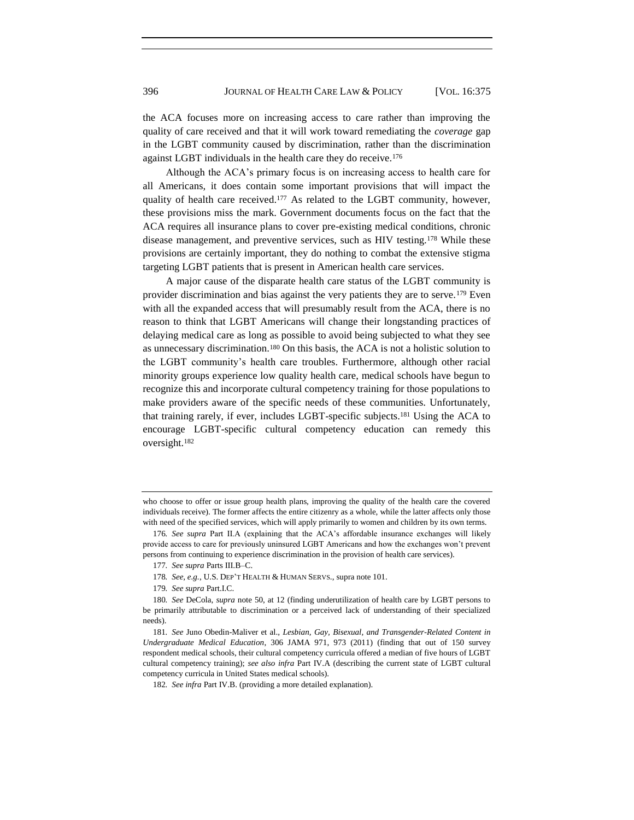the ACA focuses more on increasing access to care rather than improving the quality of care received and that it will work toward remediating the *coverage* gap in the LGBT community caused by discrimination, rather than the discrimination against LGBT individuals in the health care they do receive.<sup>176</sup>

Although the ACA's primary focus is on increasing access to health care for all Americans, it does contain some important provisions that will impact the quality of health care received.<sup>177</sup> As related to the LGBT community, however, these provisions miss the mark. Government documents focus on the fact that the ACA requires all insurance plans to cover pre-existing medical conditions, chronic disease management, and preventive services, such as HIV testing.<sup>178</sup> While these provisions are certainly important, they do nothing to combat the extensive stigma targeting LGBT patients that is present in American health care services.

A major cause of the disparate health care status of the LGBT community is provider discrimination and bias against the very patients they are to serve.<sup>179</sup> Even with all the expanded access that will presumably result from the ACA, there is no reason to think that LGBT Americans will change their longstanding practices of delaying medical care as long as possible to avoid being subjected to what they see as unnecessary discrimination.<sup>180</sup> On this basis, the ACA is not a holistic solution to the LGBT community's health care troubles. Furthermore, although other racial minority groups experience low quality health care, medical schools have begun to recognize this and incorporate cultural competency training for those populations to make providers aware of the specific needs of these communities. Unfortunately, that training rarely, if ever, includes LGBT-specific subjects.<sup>181</sup> Using the ACA to encourage LGBT-specific cultural competency education can remedy this oversight.<sup>182</sup>

- 178*. See, e.g.*, U.S. DEP'T HEALTH & HUMAN SERVS., supra not[e 101.](#page-13-1)
- 179*. See supra* Part.I.C.

<span id="page-22-0"></span>who choose to offer or issue group health plans, improving the quality of the health care the covered individuals receive). The former affects the entire citizenry as a whole, while the latter affects only those with need of the specified services, which will apply primarily to women and children by its own terms.

<sup>176</sup>*. See supra* Part II.A (explaining that the ACA's affordable insurance exchanges will likely provide access to care for previously uninsured LGBT Americans and how the exchanges won't prevent persons from continuing to experience discrimination in the provision of health care services).

<sup>177</sup>*. See supra* Parts III.B–C.

<sup>180</sup>*. See* DeCola, *supra* note [50,](#page-7-0) at 12 (finding underutilization of health care by LGBT persons to be primarily attributable to discrimination or a perceived lack of understanding of their specialized needs).

<sup>181</sup>*. See* Juno Obedin-Maliver et al., *Lesbian, Gay, Bisexual, and Transgender-Related Content in Undergraduate Medical Education*, 306 JAMA 971, 973 (2011) (finding that out of 150 survey respondent medical schools, their cultural competency curricula offered a median of five hours of LGBT cultural competency training); *see also infra* Part IV.A (describing the current state of LGBT cultural competency curricula in United States medical schools).

<sup>182</sup>*. See infra* Part IV.B. (providing a more detailed explanation).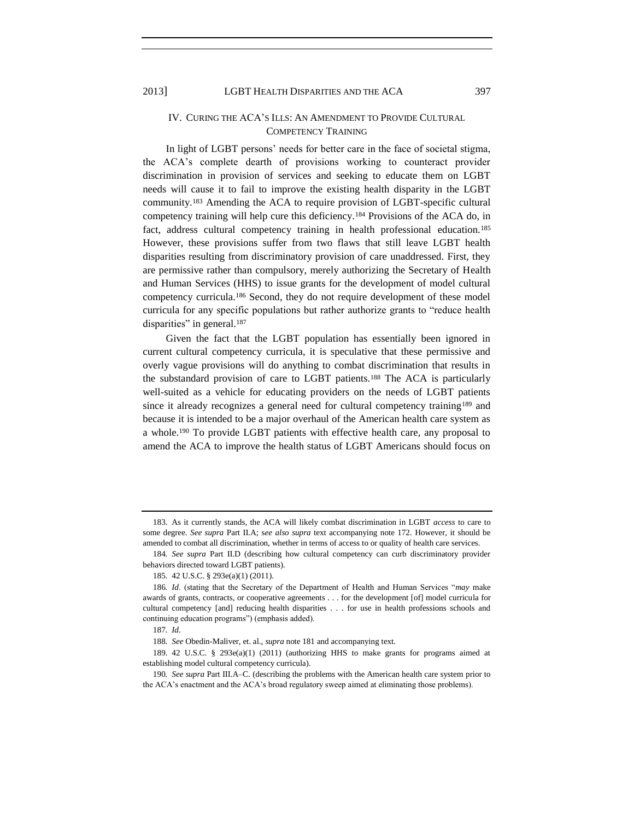## IV. CURING THE ACA'S ILLS: AN AMENDMENT TO PROVIDE CULTURAL COMPETENCY TRAINING

In light of LGBT persons' needs for better care in the face of societal stigma, the ACA's complete dearth of provisions working to counteract provider discrimination in provision of services and seeking to educate them on LGBT needs will cause it to fail to improve the existing health disparity in the LGBT community.<sup>183</sup> Amending the ACA to require provision of LGBT-specific cultural competency training will help cure this deficiency.<sup>184</sup> Provisions of the ACA do, in fact, address cultural competency training in health professional education.<sup>185</sup> However, these provisions suffer from two flaws that still leave LGBT health disparities resulting from discriminatory provision of care unaddressed. First, they are permissive rather than compulsory, merely authorizing the Secretary of Health and Human Services (HHS) to issue grants for the development of model cultural competency curricula.<sup>186</sup> Second, they do not require development of these model curricula for any specific populations but rather authorize grants to "reduce health disparities" in general.<sup>187</sup>

<span id="page-23-0"></span>Given the fact that the LGBT population has essentially been ignored in current cultural competency curricula, it is speculative that these permissive and overly vague provisions will do anything to combat discrimination that results in the substandard provision of care to LGBT patients.<sup>188</sup> The ACA is particularly well-suited as a vehicle for educating providers on the needs of LGBT patients since it already recognizes a general need for cultural competency training<sup>189</sup> and because it is intended to be a major overhaul of the American health care system as a whole.<sup>190</sup> To provide LGBT patients with effective health care, any proposal to amend the ACA to improve the health status of LGBT Americans should focus on

<sup>183.</sup> As it currently stands, the ACA will likely combat discrimination in LGBT *access* to care to some degree. *See supra* Part II.A; s*ee also supra* text accompanying note 172. However, it should be amended to combat all discrimination, whether in terms of access to or quality of health care services.

<sup>184</sup>*. See supra* Part II.D (describing how cultural competency can curb discriminatory provider behaviors directed toward LGBT patients).

<sup>185.</sup> 42 U.S.C. § 293e(a)(1) (2011).

<sup>186</sup>*. Id.* (stating that the Secretary of the Department of Health and Human Services "may make awards of grants, contracts, or cooperative agreements . . . for the development [of] model curricula for cultural competency [and] reducing health disparities . . . for use in health professions schools and continuing education programs") (emphasis added).

<sup>187</sup>*. Id*.

<sup>188</sup>*. See* Obedin-Maliver, et. al., *supra* not[e 181](#page-22-0) and accompanying text.

<sup>189.</sup> 42 U.S.C. § 293e(a)(1) (2011) (authorizing HHS to make grants for programs aimed at establishing model cultural competency curricula).

<sup>190</sup>*. See supra* Part III.A–C. (describing the problems with the American health care system prior to the ACA's enactment and the ACA's broad regulatory sweep aimed at eliminating those problems).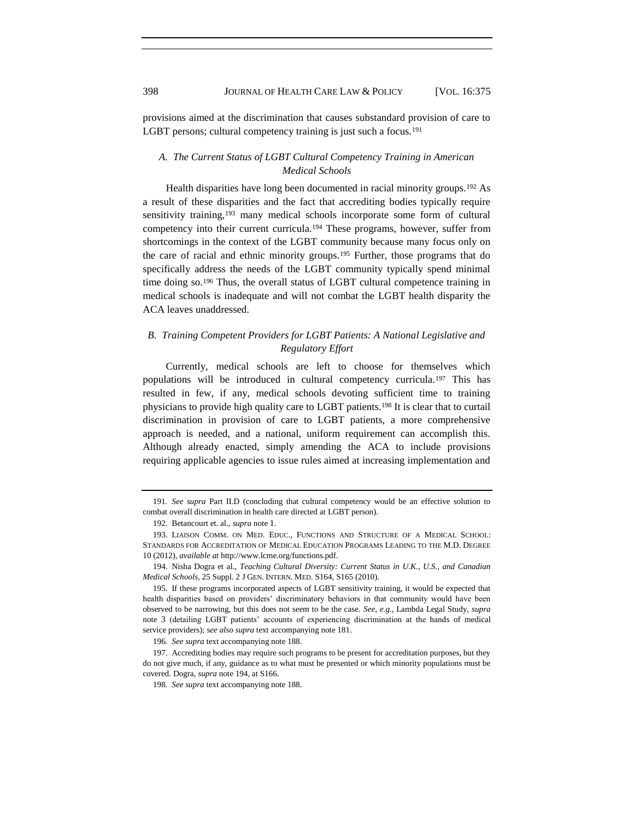provisions aimed at the discrimination that causes substandard provision of care to LGBT persons; cultural competency training is just such a focus.<sup>191</sup>

## <span id="page-24-0"></span>*A. The Current Status of LGBT Cultural Competency Training in American Medical Schools*

<span id="page-24-1"></span>Health disparities have long been documented in racial minority groups.<sup>192</sup> As a result of these disparities and the fact that accrediting bodies typically require sensitivity training,<sup>193</sup> many medical schools incorporate some form of cultural competency into their current curricula.<sup>194</sup> These programs, however, suffer from shortcomings in the context of the LGBT community because many focus only on the care of racial and ethnic minority groups.<sup>195</sup> Further, those programs that do specifically address the needs of the LGBT community typically spend minimal time doing so.<sup>196</sup> Thus, the overall status of LGBT cultural competence training in medical schools is inadequate and will not combat the LGBT health disparity the ACA leaves unaddressed.

## *B. Training Competent Providers for LGBT Patients: A National Legislative and Regulatory Effort*

Currently, medical schools are left to choose for themselves which populations will be introduced in cultural competency curricula.<sup>197</sup> This has resulted in few, if any, medical schools devoting sufficient time to training physicians to provide high quality care to LGBT patients.<sup>198</sup> It is clear that to curtail discrimination in provision of care to LGBT patients, a more comprehensive approach is needed, and a national, uniform requirement can accomplish this. Although already enacted, simply amending the ACA to include provisions requiring applicable agencies to issue rules aimed at increasing implementation and

<sup>191</sup>*. See supra* Part II.D (concluding that cultural competency would be an effective solution to combat overall discrimination in health care directed at LGBT person).

<sup>192.</sup> Betancourt et. al., *supra* note [1](#page-1-2).

<sup>193.</sup> LIAISON COMM. ON MED. EDUC., FUNCTIONS AND STRUCTURE OF A MEDICAL SCHOOL: STANDARDS FOR ACCREDITATION OF MEDICAL EDUCATION PROGRAMS LEADING TO THE M.D. DEGREE 10 (2012), *available at* http://www.lcme.org/functions.pdf.

<sup>194.</sup> Nisha Dogra et al., *Teaching Cultural Diversity: Current Status in U.K., U.S., and Canadian Medical Schools*, 25 Suppl. 2 J GEN. INTERN. MED. S164, S165 (2010).

<sup>195.</sup> If these programs incorporated aspects of LGBT sensitivity training, it would be expected that health disparities based on providers' discriminatory behaviors in that community would have been observed to be narrowing, but this does not seem to be the case. *See, e.g.*, Lambda Legal Study, *supra* note [3](#page-1-0) (detailing LGBT patients' accounts of experiencing discrimination at the hands of medical service providers); s*ee also supra* text accompanying note 181.

<sup>196</sup>*. See supra* text accompanying note 188.

<sup>197.</sup> Accrediting bodies may require such programs to be present for accreditation purposes, but they do not give much, if any, guidance as to what must be presented or which minority populations must be covered. Dogra, *supra* not[e 194,](#page-24-0) at S166.

<sup>198</sup>*. See supra* text accompanying note [188.](#page-23-0)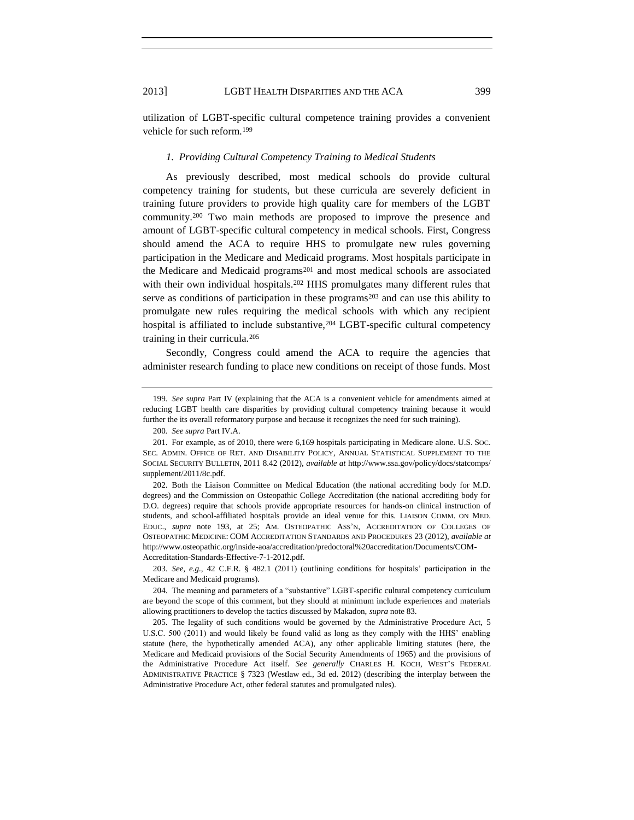utilization of LGBT-specific cultural competence training provides a convenient vehicle for such reform.<sup>199</sup>

#### <span id="page-25-1"></span>*1. Providing Cultural Competency Training to Medical Students*

As previously described, most medical schools do provide cultural competency training for students, but these curricula are severely deficient in training future providers to provide high quality care for members of the LGBT community.<sup>200</sup> Two main methods are proposed to improve the presence and amount of LGBT-specific cultural competency in medical schools. First, Congress should amend the ACA to require HHS to promulgate new rules governing participation in the Medicare and Medicaid programs. Most hospitals participate in the Medicare and Medicaid programs<sup>201</sup> and most medical schools are associated with their own individual hospitals.<sup>202</sup> HHS promulgates many different rules that serve as conditions of participation in these programs<sup>203</sup> and can use this ability to promulgate new rules requiring the medical schools with which any recipient hospital is affiliated to include substantive, <sup>204</sup> LGBT-specific cultural competency training in their curricula.<sup>205</sup>

<span id="page-25-0"></span>Secondly, Congress could amend the ACA to require the agencies that administer research funding to place new conditions on receipt of those funds. Most

200*. See supra* Part IV.A.

202. Both the Liaison Committee on Medical Education (the national accrediting body for M.D. degrees) and the Commission on Osteopathic College Accreditation (the national accrediting body for D.O. degrees) require that schools provide appropriate resources for hands-on clinical instruction of students, and school-affiliated hospitals provide an ideal venue for this. LIAISON COMM. ON MED. EDUC., *supra* note [193,](#page-24-1) at 25; AM. OSTEOPATHIC ASS'N, ACCREDITATION OF COLLEGES OF OSTEOPATHIC MEDICINE: COM ACCREDITATION STANDARDS AND PROCEDURES 23 (2012), *available at* http://www.osteopathic.org/inside-aoa/accreditation/predoctoral%20accreditation/Documents/COM-Accreditation-Standards-Effective-7-1-2012.pdf.

203*. See, e.g.*, 42 C.F.R. § 482.1 (2011) (outlining conditions for hospitals' participation in the Medicare and Medicaid programs).

204. The meaning and parameters of a "substantive" LGBT-specific cultural competency curriculum are beyond the scope of this comment, but they should at minimum include experiences and materials allowing practitioners to develop the tactics discussed by Makadon, *supra* not[e 83.](#page-11-1)

205. The legality of such conditions would be governed by the Administrative Procedure Act, 5 U.S.C. 500 (2011) and would likely be found valid as long as they comply with the HHS' enabling statute (here, the hypothetically amended ACA), any other applicable limiting statutes (here, the Medicare and Medicaid provisions of the Social Security Amendments of 1965) and the provisions of the Administrative Procedure Act itself. *See generally* CHARLES H. KOCH, WEST'S FEDERAL ADMINISTRATIVE PRACTICE § 7323 (Westlaw ed., 3d ed. 2012) (describing the interplay between the Administrative Procedure Act, other federal statutes and promulgated rules).

<sup>199</sup>*. See supra* Part IV (explaining that the ACA is a convenient vehicle for amendments aimed at reducing LGBT health care disparities by providing cultural competency training because it would further the its overall reformatory purpose and because it recognizes the need for such training).

<sup>201.</sup> For example, as of 2010, there were 6,169 hospitals participating in Medicare alone. U.S. SOC. SEC. ADMIN. OFFICE OF RET. AND DISABILITY POLICY, ANNUAL STATISTICAL SUPPLEMENT TO THE SOCIAL SECURITY BULLETIN, 2011 8.42 (2012), *available at* http://www.ssa.gov/policy/docs/statcomps/ supplement/2011/8c.pdf.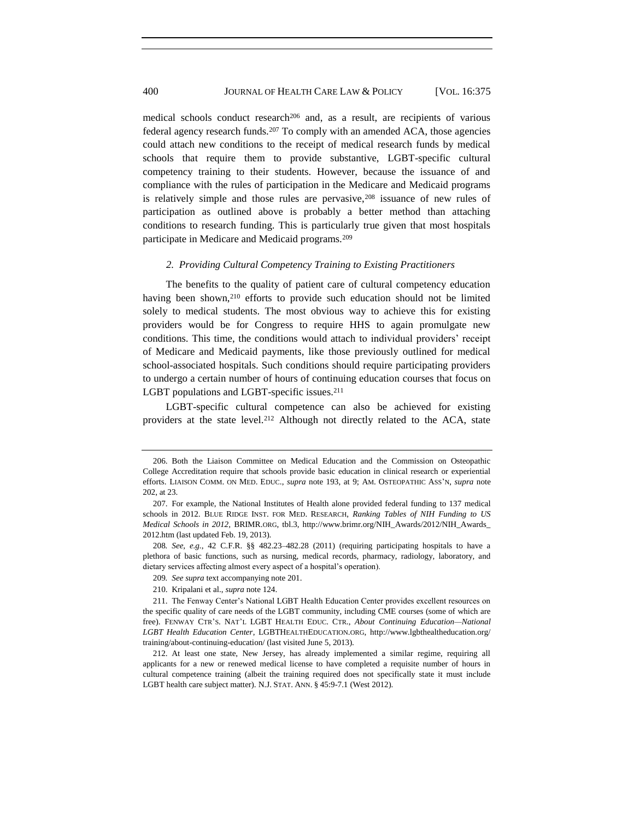medical schools conduct research<sup>206</sup> and, as a result, are recipients of various federal agency research funds.<sup>207</sup> To comply with an amended ACA, those agencies could attach new conditions to the receipt of medical research funds by medical schools that require them to provide substantive, LGBT-specific cultural competency training to their students. However, because the issuance of and compliance with the rules of participation in the Medicare and Medicaid programs is relatively simple and those rules are pervasive,<sup>208</sup> issuance of new rules of participation as outlined above is probably a better method than attaching conditions to research funding. This is particularly true given that most hospitals participate in Medicare and Medicaid programs.<sup>209</sup>

#### *2. Providing Cultural Competency Training to Existing Practitioners*

The benefits to the quality of patient care of cultural competency education having been shown,<sup>210</sup> efforts to provide such education should not be limited solely to medical students. The most obvious way to achieve this for existing providers would be for Congress to require HHS to again promulgate new conditions. This time, the conditions would attach to individual providers' receipt of Medicare and Medicaid payments, like those previously outlined for medical school-associated hospitals. Such conditions should require participating providers to undergo a certain number of hours of continuing education courses that focus on LGBT populations and LGBT-specific issues.<sup>211</sup>

LGBT-specific cultural competence can also be achieved for existing providers at the state level.<sup>212</sup> Although not directly related to the ACA, state

<sup>206.</sup> Both the Liaison Committee on Medical Education and the Commission on Osteopathic College Accreditation require that schools provide basic education in clinical research or experiential efforts. LIAISON COMM. ON MED. EDUC., *supra* note [193,](#page-24-1) at 9; AM. OSTEOPATHIC ASS'N, *supra* note [202,](#page-25-0) at 23.

<sup>207.</sup> For example, the National Institutes of Health alone provided federal funding to 137 medical schools in 2012. BLUE RIDGE INST. FOR MED. RESEARCH, *Ranking Tables of NIH Funding to US Medical Schools in 2012,* BRIMR.ORG, tbl.3, http://www.brimr.org/NIH\_Awards/2012/NIH\_Awards\_ 2012.htm (last updated Feb. 19, 2013).

<sup>208</sup>*. See, e.g.*, 42 C.F.R. §§ 482.23–482.28 (2011) (requiring participating hospitals to have a plethora of basic functions, such as nursing, medical records, pharmacy, radiology, laboratory, and dietary services affecting almost every aspect of a hospital's operation).

<sup>209</sup>*. See supra* text accompanying note 201.

<sup>210.</sup> Kripalani et al., *supra* note [124.](#page-16-0)

<sup>211.</sup> The Fenway Center's National LGBT Health Education Center provides excellent resources on the specific quality of care needs of the LGBT community, including CME courses (some of which are free). FENWAY CTR'S. NAT'L LGBT HEALTH EDUC. CTR., *About Continuing Education—National LGBT Health Education Center*, LGBTHEALTHEDUCATION.ORG, http://www.lgbthealtheducation.org/ training/about-continuing-education/ (last visited June 5, 2013).

<sup>212.</sup> At least one state, New Jersey, has already implemented a similar regime, requiring all applicants for a new or renewed medical license to have completed a requisite number of hours in cultural competence training (albeit the training required does not specifically state it must include LGBT health care subject matter). N.J. STAT. ANN. § 45:9-7.1 (West 2012).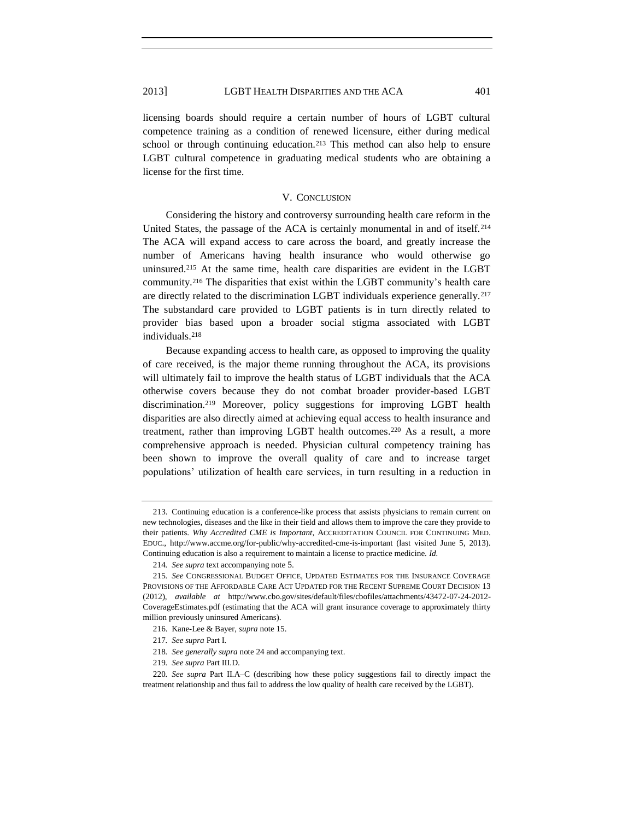licensing boards should require a certain number of hours of LGBT cultural competence training as a condition of renewed licensure, either during medical school or through continuing education.<sup>213</sup> This method can also help to ensure LGBT cultural competence in graduating medical students who are obtaining a license for the first time.

#### V. CONCLUSION

Considering the history and controversy surrounding health care reform in the United States, the passage of the ACA is certainly monumental in and of itself.<sup>214</sup> The ACA will expand access to care across the board, and greatly increase the number of Americans having health insurance who would otherwise go uninsured.<sup>215</sup> At the same time, health care disparities are evident in the LGBT community.<sup>216</sup> The disparities that exist within the LGBT community's health care are directly related to the discrimination LGBT individuals experience generally.<sup>217</sup> The substandard care provided to LGBT patients is in turn directly related to provider bias based upon a broader social stigma associated with LGBT individuals.<sup>218</sup>

Because expanding access to health care, as opposed to improving the quality of care received, is the major theme running throughout the ACA, its provisions will ultimately fail to improve the health status of LGBT individuals that the ACA otherwise covers because they do not combat broader provider-based LGBT discrimination.<sup>219</sup> Moreover, policy suggestions for improving LGBT health disparities are also directly aimed at achieving equal access to health insurance and treatment, rather than improving LGBT health outcomes. <sup>220</sup> As a result, a more comprehensive approach is needed. Physician cultural competency training has been shown to improve the overall quality of care and to increase target populations' utilization of health care services, in turn resulting in a reduction in

<sup>213.</sup> Continuing education is a conference-like process that assists physicians to remain current on new technologies, diseases and the like in their field and allows them to improve the care they provide to their patients. *Why Accredited CME is Important*, ACCREDITATION COUNCIL FOR CONTINUING MED. EDUC., http://www.accme.org/for-public/why-accredited-cme-is-important (last visited June 5, 2013). Continuing education is also a requirement to maintain a license to practice medicine. *Id.*

<sup>214</sup>*. See supra* text accompanying note [5](#page-2-1).

<sup>215</sup>*. See* CONGRESSIONAL BUDGET OFFICE, UPDATED ESTIMATES FOR THE INSURANCE COVERAGE PROVISIONS OF THE AFFORDABLE CARE ACT UPDATED FOR THE RECENT SUPREME COURT DECISION 13 (2012), *available at* http://www.cbo.gov/sites/default/files/cbofiles/attachments/43472-07-24-2012- CoverageEstimates.pdf (estimating that the ACA will grant insurance coverage to approximately thirty million previously uninsured Americans).

<sup>216.</sup> Kane-Lee & Bayer, *supra* note [15.](#page-3-1)

<sup>217</sup>*. See supra* Part I.

<sup>218</sup>*. See generally supra* not[e 24](#page-5-1) and accompanying text.

<sup>219</sup>*. See supra* Part III.D.

<sup>220</sup>*. See supra* Part II.A–C (describing how these policy suggestions fail to directly impact the treatment relationship and thus fail to address the low quality of health care received by the LGBT).